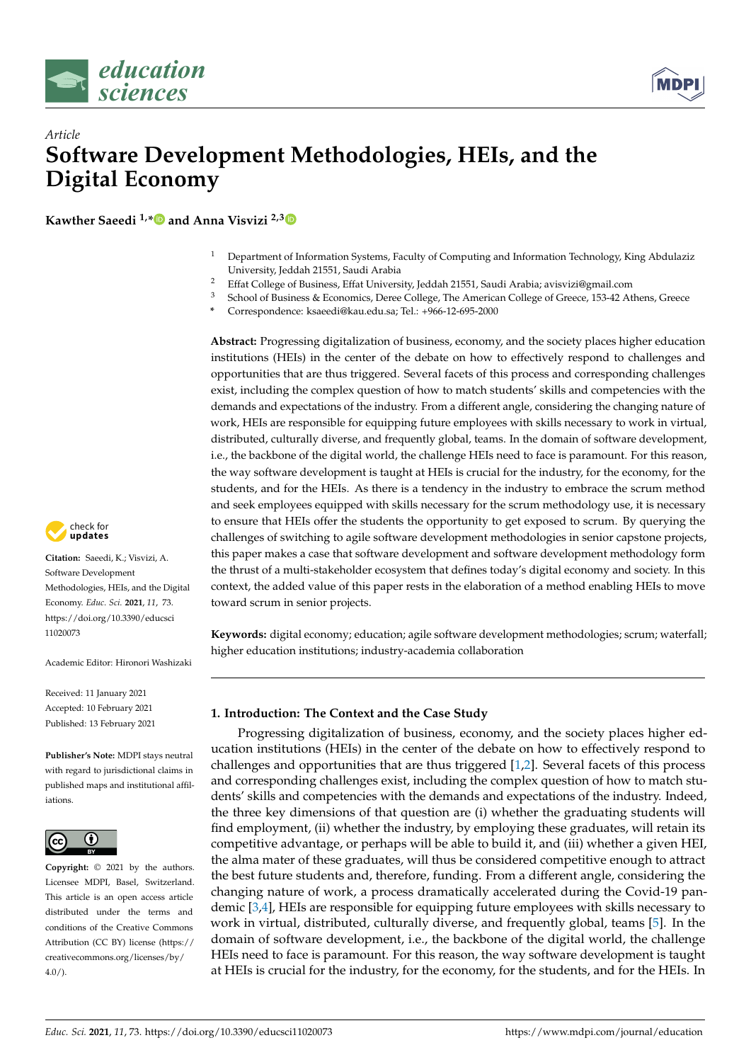



# *Article* **Software Development Methodologies, HEIs, and the Digital Economy**

**Kawther Saeedi 1,[\\*](https://orcid.org/0000-0002-5295-4485) and Anna Visvizi 2,[3](https://orcid.org/0000-0003-3240-3771)**

- <sup>1</sup> Department of Information Systems, Faculty of Computing and Information Technology, King Abdulaziz University, Jeddah 21551, Saudi Arabia
- <sup>2</sup> Effat College of Business, Effat University, Jeddah 21551, Saudi Arabia; avisvizi@gmail.com<br><sup>3</sup> Eshael of Business & Feanamics, Dave College The American College of Crosse 152.42.44
- <sup>3</sup> School of Business & Economics, Deree College, The American College of Greece, 153-42 Athens, Greece
- **\*** Correspondence: ksaeedi@kau.edu.sa; Tel.: +966-12-695-2000

**Abstract:** Progressing digitalization of business, economy, and the society places higher education institutions (HEIs) in the center of the debate on how to effectively respond to challenges and opportunities that are thus triggered. Several facets of this process and corresponding challenges exist, including the complex question of how to match students' skills and competencies with the demands and expectations of the industry. From a different angle, considering the changing nature of work, HEIs are responsible for equipping future employees with skills necessary to work in virtual, distributed, culturally diverse, and frequently global, teams. In the domain of software development, i.e., the backbone of the digital world, the challenge HEIs need to face is paramount. For this reason, the way software development is taught at HEIs is crucial for the industry, for the economy, for the students, and for the HEIs. As there is a tendency in the industry to embrace the scrum method and seek employees equipped with skills necessary for the scrum methodology use, it is necessary to ensure that HEIs offer the students the opportunity to get exposed to scrum. By querying the challenges of switching to agile software development methodologies in senior capstone projects, this paper makes a case that software development and software development methodology form the thrust of a multi-stakeholder ecosystem that defines today's digital economy and society. In this context, the added value of this paper rests in the elaboration of a method enabling HEIs to move toward scrum in senior projects.

**Keywords:** digital economy; education; agile software development methodologies; scrum; waterfall; higher education institutions; industry-academia collaboration

**1. Introduction: The Context and the Case Study**

Progressing digitalization of business, economy, and the society places higher education institutions (HEIs) in the center of the debate on how to effectively respond to challenges and opportunities that are thus triggered [\[1,](#page-18-0)[2\]](#page-18-1). Several facets of this process and corresponding challenges exist, including the complex question of how to match students' skills and competencies with the demands and expectations of the industry. Indeed, the three key dimensions of that question are (i) whether the graduating students will find employment, (ii) whether the industry, by employing these graduates, will retain its competitive advantage, or perhaps will be able to build it, and (iii) whether a given HEI, the alma mater of these graduates, will thus be considered competitive enough to attract the best future students and, therefore, funding. From a different angle, considering the changing nature of work, a process dramatically accelerated during the Covid-19 pandemic [\[3,](#page-18-2)[4\]](#page-18-3), HEIs are responsible for equipping future employees with skills necessary to work in virtual, distributed, culturally diverse, and frequently global, teams [\[5\]](#page-18-4). In the domain of software development, i.e., the backbone of the digital world, the challenge HEIs need to face is paramount. For this reason, the way software development is taught at HEIs is crucial for the industry, for the economy, for the students, and for the HEIs. In



**Citation:** Saeedi, K.; Visvizi, A. Software Development Methodologies, HEIs, and the Digital Economy. *Educ. Sci.* **2021**, *11*, 73. [https://doi.org/10.3390/educsci](https://doi.org/10.3390/educsci11020073) [11020073](https://doi.org/10.3390/educsci11020073)

Academic Editor: Hironori Washizaki

Received: 11 January 2021 Accepted: 10 February 2021 Published: 13 February 2021

**Publisher's Note:** MDPI stays neutral with regard to jurisdictional claims in published maps and institutional affiliations.



**Copyright:** © 2021 by the authors. Licensee MDPI, Basel, Switzerland. This article is an open access article distributed under the terms and conditions of the Creative Commons Attribution (CC BY) license (https:/[/](https://creativecommons.org/licenses/by/4.0/) [creativecommons.org/licenses/by/](https://creativecommons.org/licenses/by/4.0/)  $4.0/$ ).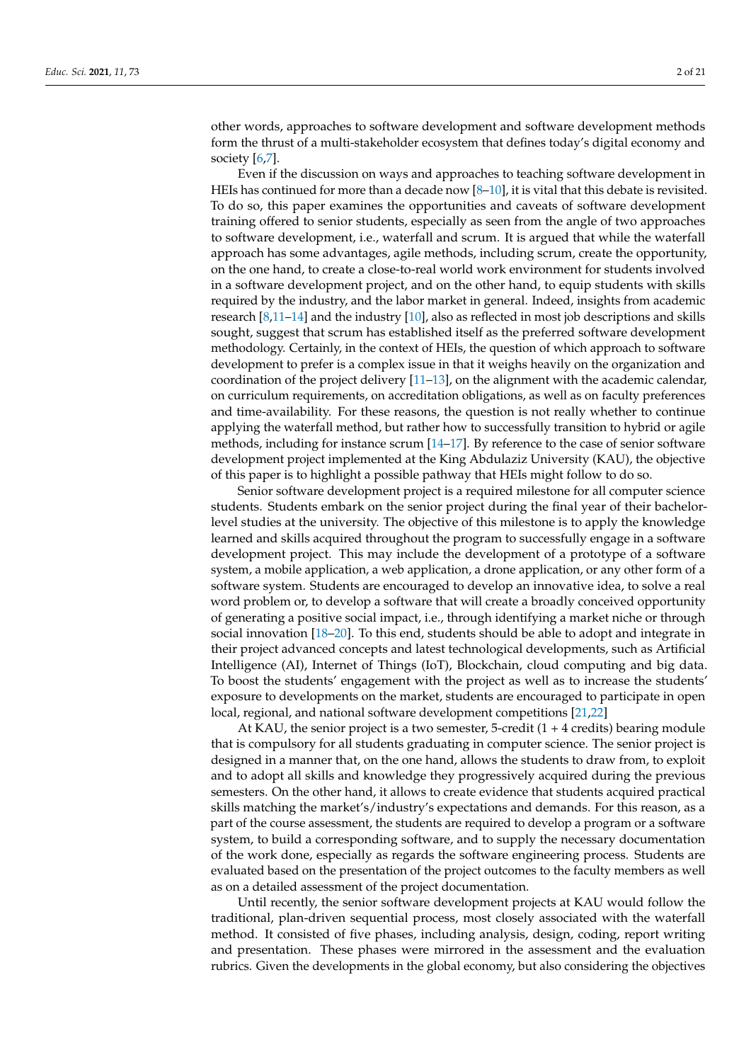other words, approaches to software development and software development methods form the thrust of a multi-stakeholder ecosystem that defines today's digital economy and society [\[6,](#page-18-5)[7\]](#page-18-6).

Even if the discussion on ways and approaches to teaching software development in HEIs has continued for more than a decade now  $[8-10]$  $[8-10]$ , it is vital that this debate is revisited. To do so, this paper examines the opportunities and caveats of software development training offered to senior students, especially as seen from the angle of two approaches to software development, i.e., waterfall and scrum. It is argued that while the waterfall approach has some advantages, agile methods, including scrum, create the opportunity, on the one hand, to create a close-to-real world work environment for students involved in a software development project, and on the other hand, to equip students with skills required by the industry, and the labor market in general. Indeed, insights from academic research [\[8,](#page-18-7)[11](#page-18-9)[–14\]](#page-18-10) and the industry [\[10\]](#page-18-8), also as reflected in most job descriptions and skills sought, suggest that scrum has established itself as the preferred software development methodology. Certainly, in the context of HEIs, the question of which approach to software development to prefer is a complex issue in that it weighs heavily on the organization and coordination of the project delivery [\[11–](#page-18-9)[13\]](#page-18-11), on the alignment with the academic calendar, on curriculum requirements, on accreditation obligations, as well as on faculty preferences and time-availability. For these reasons, the question is not really whether to continue applying the waterfall method, but rather how to successfully transition to hybrid or agile methods, including for instance scrum [\[14–](#page-18-10)[17\]](#page-18-12). By reference to the case of senior software development project implemented at the King Abdulaziz University (KAU), the objective of this paper is to highlight a possible pathway that HEIs might follow to do so.

Senior software development project is a required milestone for all computer science students. Students embark on the senior project during the final year of their bachelorlevel studies at the university. The objective of this milestone is to apply the knowledge learned and skills acquired throughout the program to successfully engage in a software development project. This may include the development of a prototype of a software system, a mobile application, a web application, a drone application, or any other form of a software system. Students are encouraged to develop an innovative idea, to solve a real word problem or, to develop a software that will create a broadly conceived opportunity of generating a positive social impact, i.e., through identifying a market niche or through social innovation [\[18](#page-18-13)[–20\]](#page-18-14). To this end, students should be able to adopt and integrate in their project advanced concepts and latest technological developments, such as Artificial Intelligence (AI), Internet of Things (IoT), Blockchain, cloud computing and big data. To boost the students' engagement with the project as well as to increase the students' exposure to developments on the market, students are encouraged to participate in open local, regional, and national software development competitions [\[21,](#page-18-15)[22\]](#page-18-16)

At KAU, the senior project is a two semester, 5-credit (1 + 4 credits) bearing module that is compulsory for all students graduating in computer science. The senior project is designed in a manner that, on the one hand, allows the students to draw from, to exploit and to adopt all skills and knowledge they progressively acquired during the previous semesters. On the other hand, it allows to create evidence that students acquired practical skills matching the market's/industry's expectations and demands. For this reason, as a part of the course assessment, the students are required to develop a program or a software system, to build a corresponding software, and to supply the necessary documentation of the work done, especially as regards the software engineering process. Students are evaluated based on the presentation of the project outcomes to the faculty members as well as on a detailed assessment of the project documentation.

Until recently, the senior software development projects at KAU would follow the traditional, plan-driven sequential process, most closely associated with the waterfall method. It consisted of five phases, including analysis, design, coding, report writing and presentation. These phases were mirrored in the assessment and the evaluation rubrics. Given the developments in the global economy, but also considering the objectives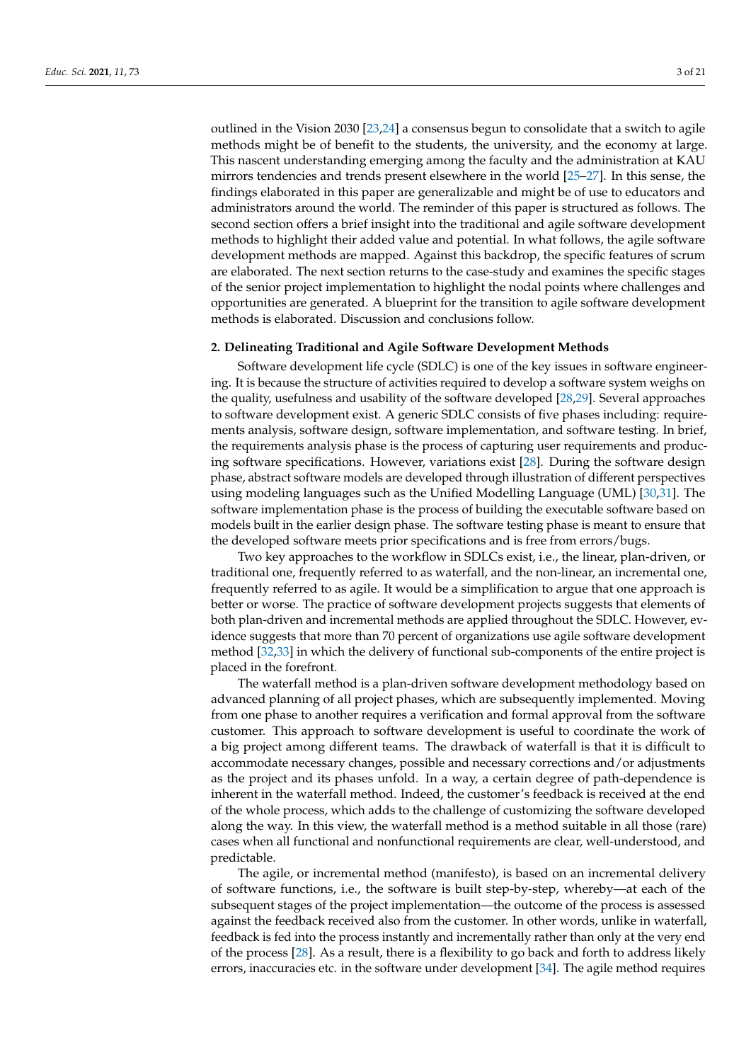outlined in the Vision 2030 [\[23,](#page-18-17)[24\]](#page-18-18) a consensus begun to consolidate that a switch to agile methods might be of benefit to the students, the university, and the economy at large. This nascent understanding emerging among the faculty and the administration at KAU mirrors tendencies and trends present elsewhere in the world [\[25–](#page-18-19)[27\]](#page-18-20). In this sense, the findings elaborated in this paper are generalizable and might be of use to educators and administrators around the world. The reminder of this paper is structured as follows. The second section offers a brief insight into the traditional and agile software development methods to highlight their added value and potential. In what follows, the agile software development methods are mapped. Against this backdrop, the specific features of scrum are elaborated. The next section returns to the case-study and examines the specific stages of the senior project implementation to highlight the nodal points where challenges and opportunities are generated. A blueprint for the transition to agile software development methods is elaborated. Discussion and conclusions follow.

## **2. Delineating Traditional and Agile Software Development Methods**

Software development life cycle (SDLC) is one of the key issues in software engineering. It is because the structure of activities required to develop a software system weighs on the quality, usefulness and usability of the software developed [\[28,](#page-19-0)[29\]](#page-19-1). Several approaches to software development exist. A generic SDLC consists of five phases including: requirements analysis, software design, software implementation, and software testing. In brief, the requirements analysis phase is the process of capturing user requirements and producing software specifications. However, variations exist [\[28\]](#page-19-0). During the software design phase, abstract software models are developed through illustration of different perspectives using modeling languages such as the Unified Modelling Language (UML) [\[30](#page-19-2)[,31\]](#page-19-3). The software implementation phase is the process of building the executable software based on models built in the earlier design phase. The software testing phase is meant to ensure that the developed software meets prior specifications and is free from errors/bugs.

Two key approaches to the workflow in SDLCs exist, i.e., the linear, plan-driven, or traditional one, frequently referred to as waterfall, and the non-linear, an incremental one, frequently referred to as agile. It would be a simplification to argue that one approach is better or worse. The practice of software development projects suggests that elements of both plan-driven and incremental methods are applied throughout the SDLC. However, evidence suggests that more than 70 percent of organizations use agile software development method [\[32,](#page-19-4)[33\]](#page-19-5) in which the delivery of functional sub-components of the entire project is placed in the forefront.

The waterfall method is a plan-driven software development methodology based on advanced planning of all project phases, which are subsequently implemented. Moving from one phase to another requires a verification and formal approval from the software customer. This approach to software development is useful to coordinate the work of a big project among different teams. The drawback of waterfall is that it is difficult to accommodate necessary changes, possible and necessary corrections and/or adjustments as the project and its phases unfold. In a way, a certain degree of path-dependence is inherent in the waterfall method. Indeed, the customer's feedback is received at the end of the whole process, which adds to the challenge of customizing the software developed along the way. In this view, the waterfall method is a method suitable in all those (rare) cases when all functional and nonfunctional requirements are clear, well-understood, and predictable.

The agile, or incremental method (manifesto), is based on an incremental delivery of software functions, i.e., the software is built step-by-step, whereby—at each of the subsequent stages of the project implementation—the outcome of the process is assessed against the feedback received also from the customer. In other words, unlike in waterfall, feedback is fed into the process instantly and incrementally rather than only at the very end of the process [\[28\]](#page-19-0). As a result, there is a flexibility to go back and forth to address likely errors, inaccuracies etc. in the software under development [\[34\]](#page-19-6). The agile method requires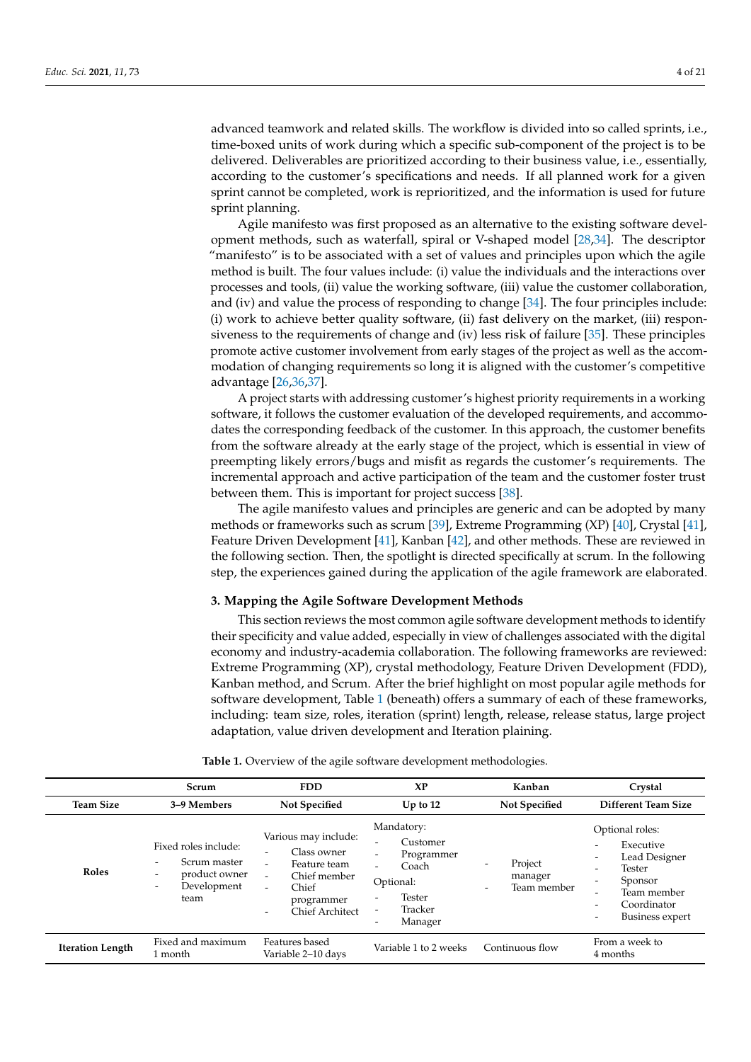advanced teamwork and related skills. The workflow is divided into so called sprints, i.e., time-boxed units of work during which a specific sub-component of the project is to be delivered. Deliverables are prioritized according to their business value, i.e., essentially, according to the customer's specifications and needs. If all planned work for a given sprint cannot be completed, work is reprioritized, and the information is used for future sprint planning.

Agile manifesto was first proposed as an alternative to the existing software development methods, such as waterfall, spiral or V-shaped model [\[28](#page-19-0)[,34\]](#page-19-6). The descriptor "manifesto" is to be associated with a set of values and principles upon which the agile method is built. The four values include: (i) value the individuals and the interactions over processes and tools, (ii) value the working software, (iii) value the customer collaboration, and (iv) and value the process of responding to change [\[34\]](#page-19-6). The four principles include: (i) work to achieve better quality software, (ii) fast delivery on the market, (iii) responsiveness to the requirements of change and (iv) less risk of failure [\[35\]](#page-19-7). These principles promote active customer involvement from early stages of the project as well as the accommodation of changing requirements so long it is aligned with the customer's competitive advantage [\[26,](#page-18-21)[36,](#page-19-8)[37\]](#page-19-9).

A project starts with addressing customer's highest priority requirements in a working software, it follows the customer evaluation of the developed requirements, and accommodates the corresponding feedback of the customer. In this approach, the customer benefits from the software already at the early stage of the project, which is essential in view of preempting likely errors/bugs and misfit as regards the customer's requirements. The incremental approach and active participation of the team and the customer foster trust between them. This is important for project success [\[38\]](#page-19-10).

The agile manifesto values and principles are generic and can be adopted by many methods or frameworks such as scrum [\[39\]](#page-19-11), Extreme Programming (XP) [\[40\]](#page-19-12), Crystal [\[41\]](#page-19-13), Feature Driven Development [\[41\]](#page-19-13), Kanban [\[42\]](#page-19-14), and other methods. These are reviewed in the following section. Then, the spotlight is directed specifically at scrum. In the following step, the experiences gained during the application of the agile framework are elaborated.

## **3. Mapping the Agile Software Development Methods**

This section reviews the most common agile software development methods to identify their specificity and value added, especially in view of challenges associated with the digital economy and industry-academia collaboration. The following frameworks are reviewed: Extreme Programming (XP), crystal methodology, Feature Driven Development (FDD), Kanban method, and Scrum. After the brief highlight on most popular agile methods for software development, Table [1](#page-3-0) (beneath) offers a summary of each of these frameworks, including: team size, roles, iteration (sprint) length, release, release status, large project adaptation, value driven development and Iteration plaining.

<span id="page-3-0"></span>

|                         | Scrum                                                                                                                                                            | <b>FDD</b>                                                                                                                                                                                                                    | <b>XP</b>                                                                                                                                                                                                                    | Kanban                            | Crystal                                                                                                                                                                                                                |  |  |  |
|-------------------------|------------------------------------------------------------------------------------------------------------------------------------------------------------------|-------------------------------------------------------------------------------------------------------------------------------------------------------------------------------------------------------------------------------|------------------------------------------------------------------------------------------------------------------------------------------------------------------------------------------------------------------------------|-----------------------------------|------------------------------------------------------------------------------------------------------------------------------------------------------------------------------------------------------------------------|--|--|--|
| <b>Team Size</b>        | 3-9 Members                                                                                                                                                      | <b>Not Specified</b>                                                                                                                                                                                                          | $Up$ to 12                                                                                                                                                                                                                   | <b>Not Specified</b>              | Different Team Size                                                                                                                                                                                                    |  |  |  |
| Roles                   | Fixed roles include:<br>Scrum master<br>$\overline{\phantom{a}}$<br>product owner<br>$\overline{\phantom{a}}$<br>Development<br>$\overline{\phantom{a}}$<br>team | Various may include:<br>Class owner<br>$\overline{\phantom{0}}$<br>Feature team<br>$\overline{\phantom{a}}$<br>Chief member<br>Chief<br>$\overline{\phantom{0}}$<br>programmer<br>Chief Architect<br>$\overline{\phantom{0}}$ | Mandatory:<br>Customer<br>$\overline{\phantom{a}}$<br>Programmer<br>$\overline{\phantom{a}}$<br>Coach<br>Optional:<br>Tester<br>$\overline{\phantom{a}}$<br>Tracker<br>$\overline{a}$<br>Manager<br>$\overline{\phantom{0}}$ | Project<br>manager<br>Team member | Optional roles:<br>Executive<br>$\overline{\phantom{0}}$<br>Lead Designer<br>$\overline{\phantom{0}}$<br>Tester<br>-<br>Sponsor<br>Team member<br>-<br>Coordinator<br>-<br>Business expert<br>$\overline{\phantom{0}}$ |  |  |  |
| <b>Iteration Length</b> | Fixed and maximum<br>l month                                                                                                                                     | Features based<br>Variable 2-10 days                                                                                                                                                                                          | Variable 1 to 2 weeks                                                                                                                                                                                                        | Continuous flow                   | From a week to<br>4 months                                                                                                                                                                                             |  |  |  |

**Table 1.** Overview of the agile software development methodologies.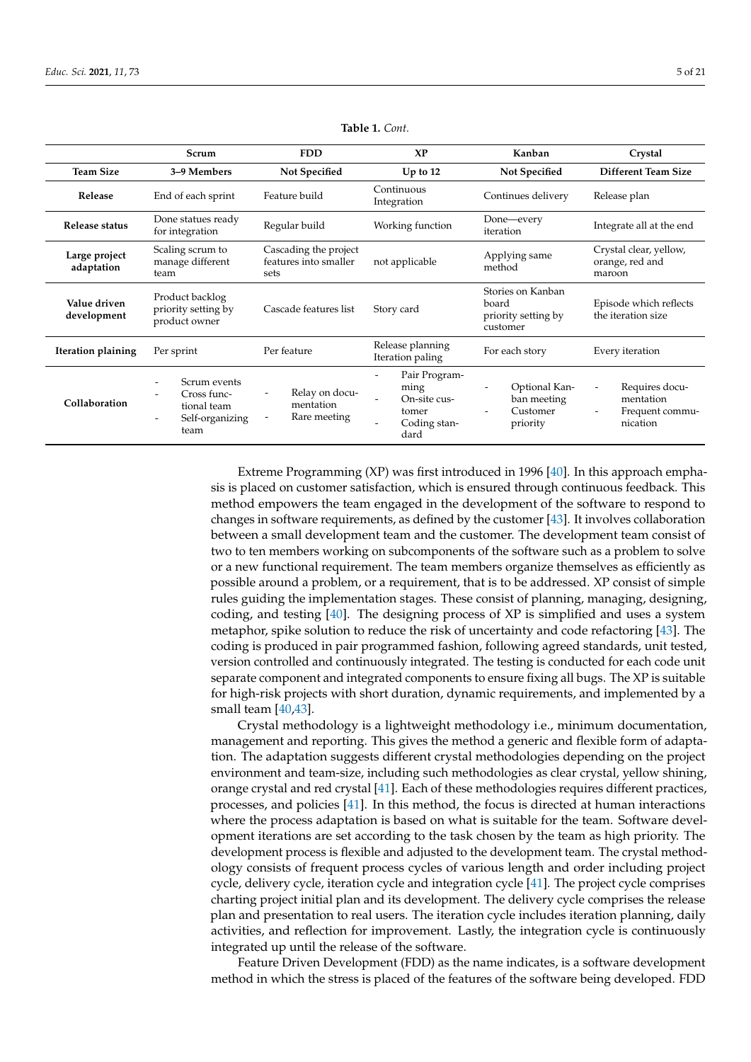|                             | Scrum                                                                 | <b>FDD</b>                                             | X <sub>P</sub>                                                                                                                     | Kanban                                                        | Crystal                                                                                |  |  |
|-----------------------------|-----------------------------------------------------------------------|--------------------------------------------------------|------------------------------------------------------------------------------------------------------------------------------------|---------------------------------------------------------------|----------------------------------------------------------------------------------------|--|--|
| <b>Team Size</b>            | 3–9 Members                                                           | <b>Not Specified</b>                                   | Up to $12$                                                                                                                         | <b>Not Specified</b>                                          | <b>Different Team Size</b>                                                             |  |  |
| Release                     | End of each sprint                                                    | Feature build                                          | Continuous<br>Integration                                                                                                          | Continues delivery                                            | Release plan                                                                           |  |  |
| Release status              | Done statues ready<br>for integration                                 | Regular build                                          | Working function                                                                                                                   | Done—every<br>iteration                                       | Integrate all at the end                                                               |  |  |
| Large project<br>adaptation | Scaling scrum to<br>manage different<br>team                          | Cascading the project<br>features into smaller<br>sets | not applicable                                                                                                                     | Applying same<br>method                                       | Crystal clear, yellow,<br>orange, red and<br>maroon                                    |  |  |
| Value driven<br>development | Product backlog<br>priority setting by<br>product owner               | Cascade features list                                  | Story card                                                                                                                         | Stories on Kanban<br>board<br>priority setting by<br>customer | Episode which reflects<br>the iteration size                                           |  |  |
| Iteration plaining          | Per sprint                                                            | Per feature                                            | Release planning<br>Iteration paling                                                                                               | For each story                                                | Every iteration                                                                        |  |  |
| Collaboration               | Scrum events<br>Cross func-<br>tional team<br>Self-organizing<br>team | Relay on docu-<br>mentation<br>Rare meeting            | Pair Program-<br>$\qquad \qquad \blacksquare$<br>ming<br>On-site cus-<br>$\overline{\phantom{a}}$<br>tomer<br>Coding stan-<br>dard | Optional Kan-<br>ban meeting<br>Customer<br>priority          | Requires docu-<br>$\overline{\phantom{a}}$<br>mentation<br>Frequent commu-<br>nication |  |  |

**Table 1.** *Cont.*

Extreme Programming (XP) was first introduced in 1996 [\[40\]](#page-19-12). In this approach emphasis is placed on customer satisfaction, which is ensured through continuous feedback. This method empowers the team engaged in the development of the software to respond to changes in software requirements, as defined by the customer [\[43\]](#page-19-15). It involves collaboration between a small development team and the customer. The development team consist of two to ten members working on subcomponents of the software such as a problem to solve or a new functional requirement. The team members organize themselves as efficiently as possible around a problem, or a requirement, that is to be addressed. XP consist of simple rules guiding the implementation stages. These consist of planning, managing, designing, coding, and testing [\[40\]](#page-19-12). The designing process of XP is simplified and uses a system metaphor, spike solution to reduce the risk of uncertainty and code refactoring [\[43\]](#page-19-15). The coding is produced in pair programmed fashion, following agreed standards, unit tested, version controlled and continuously integrated. The testing is conducted for each code unit separate component and integrated components to ensure fixing all bugs. The XP is suitable for high-risk projects with short duration, dynamic requirements, and implemented by a small team [\[40,](#page-19-12)[43\]](#page-19-15).

Crystal methodology is a lightweight methodology i.e., minimum documentation, management and reporting. This gives the method a generic and flexible form of adaptation. The adaptation suggests different crystal methodologies depending on the project environment and team-size, including such methodologies as clear crystal, yellow shining, orange crystal and red crystal [\[41\]](#page-19-13). Each of these methodologies requires different practices, processes, and policies [\[41\]](#page-19-13). In this method, the focus is directed at human interactions where the process adaptation is based on what is suitable for the team. Software development iterations are set according to the task chosen by the team as high priority. The development process is flexible and adjusted to the development team. The crystal methodology consists of frequent process cycles of various length and order including project cycle, delivery cycle, iteration cycle and integration cycle [\[41\]](#page-19-13). The project cycle comprises charting project initial plan and its development. The delivery cycle comprises the release plan and presentation to real users. The iteration cycle includes iteration planning, daily activities, and reflection for improvement. Lastly, the integration cycle is continuously integrated up until the release of the software.

Feature Driven Development (FDD) as the name indicates, is a software development method in which the stress is placed of the features of the software being developed. FDD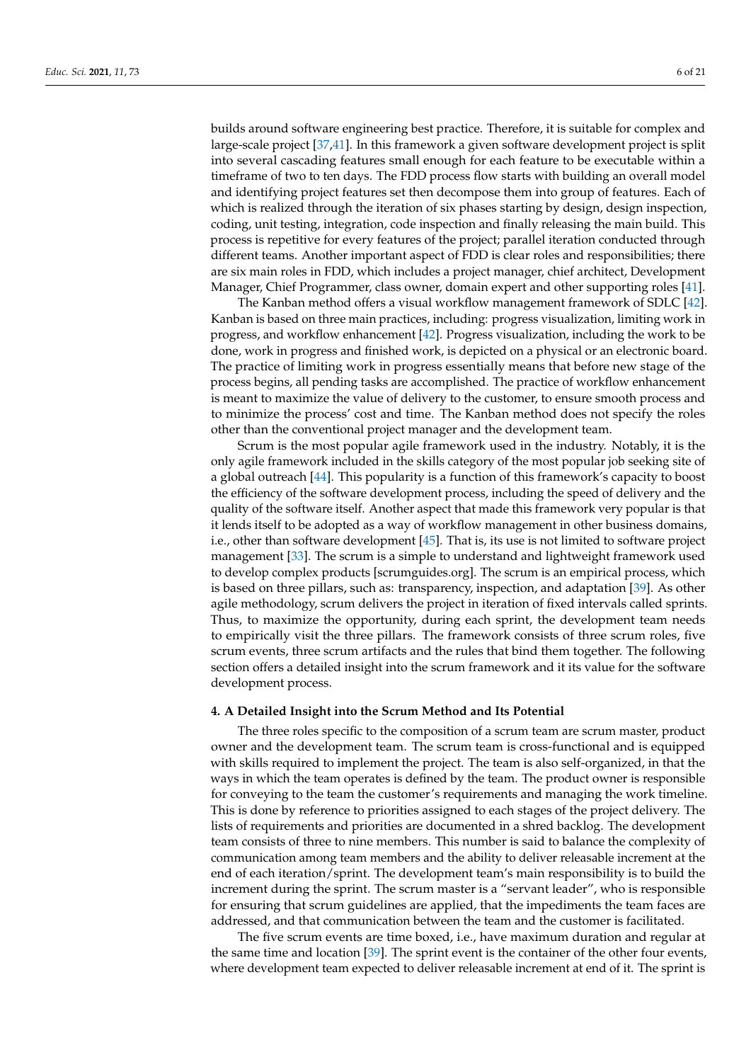builds around software engineering best practice. Therefore, it is suitable for complex and large-scale project [\[37](#page-19-9)[,41\]](#page-19-13). In this framework a given software development project is split into several cascading features small enough for each feature to be executable within a timeframe of two to ten days. The FDD process flow starts with building an overall model and identifying project features set then decompose them into group of features. Each of which is realized through the iteration of six phases starting by design, design inspection, coding, unit testing, integration, code inspection and finally releasing the main build. This process is repetitive for every features of the project; parallel iteration conducted through different teams. Another important aspect of FDD is clear roles and responsibilities; there are six main roles in FDD, which includes a project manager, chief architect, Development Manager, Chief Programmer, class owner, domain expert and other supporting roles [\[41\]](#page-19-13).

The Kanban method offers a visual workflow management framework of SDLC [\[42\]](#page-19-14). Kanban is based on three main practices, including: progress visualization, limiting work in progress, and workflow enhancement [\[42\]](#page-19-14). Progress visualization, including the work to be done, work in progress and finished work, is depicted on a physical or an electronic board. The practice of limiting work in progress essentially means that before new stage of the process begins, all pending tasks are accomplished. The practice of workflow enhancement is meant to maximize the value of delivery to the customer, to ensure smooth process and to minimize the process' cost and time. The Kanban method does not specify the roles other than the conventional project manager and the development team.

Scrum is the most popular agile framework used in the industry. Notably, it is the only agile framework included in the skills category of the most popular job seeking site of a global outreach [\[44\]](#page-19-16). This popularity is a function of this framework's capacity to boost the efficiency of the software development process, including the speed of delivery and the quality of the software itself. Another aspect that made this framework very popular is that it lends itself to be adopted as a way of workflow management in other business domains, i.e., other than software development [\[45\]](#page-19-17). That is, its use is not limited to software project management [\[33\]](#page-19-5). The scrum is a simple to understand and lightweight framework used to develop complex products [scrumguides.org]. The scrum is an empirical process, which is based on three pillars, such as: transparency, inspection, and adaptation [\[39\]](#page-19-11). As other agile methodology, scrum delivers the project in iteration of fixed intervals called sprints. Thus, to maximize the opportunity, during each sprint, the development team needs to empirically visit the three pillars. The framework consists of three scrum roles, five scrum events, three scrum artifacts and the rules that bind them together. The following section offers a detailed insight into the scrum framework and it its value for the software development process.

## **4. A Detailed Insight into the Scrum Method and Its Potential**

The three roles specific to the composition of a scrum team are scrum master, product owner and the development team. The scrum team is cross-functional and is equipped with skills required to implement the project. The team is also self-organized, in that the ways in which the team operates is defined by the team. The product owner is responsible for conveying to the team the customer's requirements and managing the work timeline. This is done by reference to priorities assigned to each stages of the project delivery. The lists of requirements and priorities are documented in a shred backlog. The development team consists of three to nine members. This number is said to balance the complexity of communication among team members and the ability to deliver releasable increment at the end of each iteration/sprint. The development team's main responsibility is to build the increment during the sprint. The scrum master is a "servant leader", who is responsible for ensuring that scrum guidelines are applied, that the impediments the team faces are addressed, and that communication between the team and the customer is facilitated.

The five scrum events are time boxed, i.e., have maximum duration and regular at the same time and location [\[39\]](#page-19-11). The sprint event is the container of the other four events, where development team expected to deliver releasable increment at end of it. The sprint is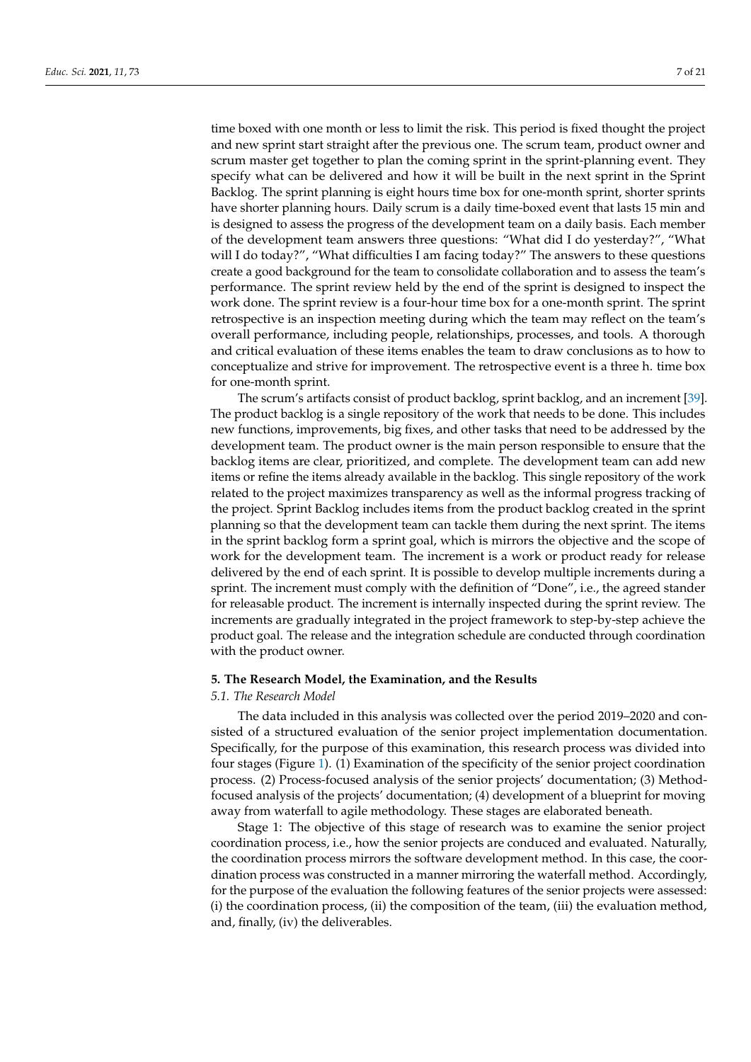time boxed with one month or less to limit the risk. This period is fixed thought the project and new sprint start straight after the previous one. The scrum team, product owner and scrum master get together to plan the coming sprint in the sprint-planning event. They specify what can be delivered and how it will be built in the next sprint in the Sprint Backlog. The sprint planning is eight hours time box for one-month sprint, shorter sprints have shorter planning hours. Daily scrum is a daily time-boxed event that lasts 15 min and is designed to assess the progress of the development team on a daily basis. Each member of the development team answers three questions: "What did I do yesterday?", "What will I do today?", "What difficulties I am facing today?" The answers to these questions create a good background for the team to consolidate collaboration and to assess the team's performance. The sprint review held by the end of the sprint is designed to inspect the work done. The sprint review is a four-hour time box for a one-month sprint. The sprint retrospective is an inspection meeting during which the team may reflect on the team's overall performance, including people, relationships, processes, and tools. A thorough and critical evaluation of these items enables the team to draw conclusions as to how to conceptualize and strive for improvement. The retrospective event is a three h. time box for one-month sprint.

The scrum's artifacts consist of product backlog, sprint backlog, and an increment [\[39\]](#page-19-11). The product backlog is a single repository of the work that needs to be done. This includes new functions, improvements, big fixes, and other tasks that need to be addressed by the development team. The product owner is the main person responsible to ensure that the backlog items are clear, prioritized, and complete. The development team can add new items or refine the items already available in the backlog. This single repository of the work related to the project maximizes transparency as well as the informal progress tracking of the project. Sprint Backlog includes items from the product backlog created in the sprint planning so that the development team can tackle them during the next sprint. The items in the sprint backlog form a sprint goal, which is mirrors the objective and the scope of work for the development team. The increment is a work or product ready for release delivered by the end of each sprint. It is possible to develop multiple increments during a sprint. The increment must comply with the definition of "Done", i.e., the agreed stander for releasable product. The increment is internally inspected during the sprint review. The increments are gradually integrated in the project framework to step-by-step achieve the product goal. The release and the integration schedule are conducted through coordination with the product owner.

#### **5. The Research Model, the Examination, and the Results**

## *5.1. The Research Model*

The data included in this analysis was collected over the period 2019–2020 and consisted of a structured evaluation of the senior project implementation documentation. Specifically, for the purpose of this examination, this research process was divided into four stages (Figure [1\)](#page-7-0). (1) Examination of the specificity of the senior project coordination process. (2) Process-focused analysis of the senior projects' documentation; (3) Methodfocused analysis of the projects' documentation; (4) development of a blueprint for moving away from waterfall to agile methodology. These stages are elaborated beneath.

Stage 1: The objective of this stage of research was to examine the senior project coordination process, i.e., how the senior projects are conduced and evaluated. Naturally, the coordination process mirrors the software development method. In this case, the coordination process was constructed in a manner mirroring the waterfall method. Accordingly, for the purpose of the evaluation the following features of the senior projects were assessed: (i) the coordination process, (ii) the composition of the team, (iii) the evaluation method, and, finally, (iv) the deliverables.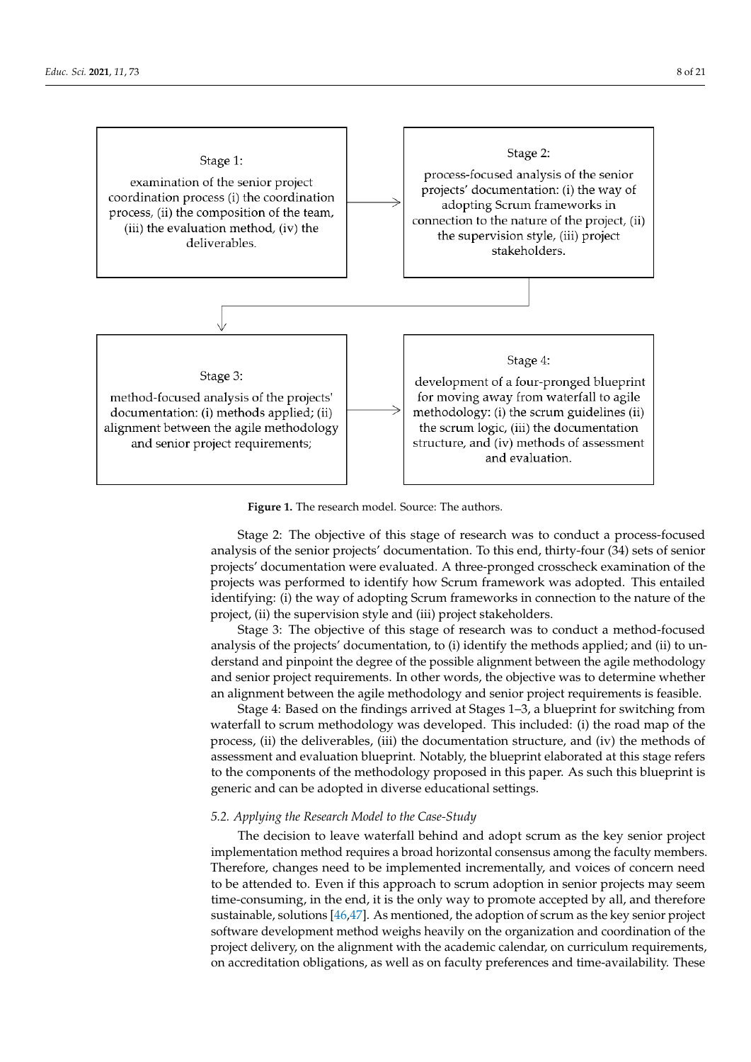<span id="page-7-0"></span>

**Figure 1.** The research model. Source: The authors. **Figure 1.** The research model. Source: The authors.

Stage 2: The objective of this stage of research was to conduct a process-focused analysis of the senior projects' documentation. To this end, thirty-four (34) sets of senior projects' documentation were evaluated. A three-pronged crosscheck examination of the projects was performed to identify how Scrum framework was adopted. This entailed identifying: (i) the way of adopting Scrum frameworks in connection to the nature of the project, (ii) the supervision style and (iii) project stakeholders.

cused analysis of the projects' documentation; (4) development of a blueprint for moving

Stage 3: The objective of this stage of research was to conduct a method-focused analysis of the projects' documentation, to (i) identify the methods applied; and (ii) to understand and pinpoint the degree of the possible alignment between the agile methodology and senior project requirements. In other words, the objective was to determine whether an alignment between the agile methodology and senior project requirements is feasible.

Stage 4: Based on the findings arrived at Stages 1–3, a blueprint for switching from waterfall to scrum methodology was developed. This included: (i) the road map of the process, (ii) the deliverables, (iii) the documentation structure, and (iv) the methods of assessment and evaluation blueprint. Notably, the blueprint elaborated at this stage refers to the components of the methodology proposed in this paper. As such this blueprint is generic and can be adopted in diverse educational settings.

### *5.2. Applying the Research Model to the Case-Study*

The decision to leave waterfall behind and adopt scrum as the key senior project implementation method requires a broad horizontal consensus among the faculty members. Therefore, changes need to be implemented incrementally, and voices of concern need to be attended to. Even if this approach to scrum adoption in senior projects may seem time-consuming, in the end, it is the only way to promote accepted by all, and therefore sustainable, solutions [\[46](#page-19-18)[,47\]](#page-19-19). As mentioned, the adoption of scrum as the key senior project software development method weighs heavily on the organization and coordination of the project delivery, on the alignment with the academic calendar, on curriculum requirements, on accreditation obligations, as well as on faculty preferences and time-availability. These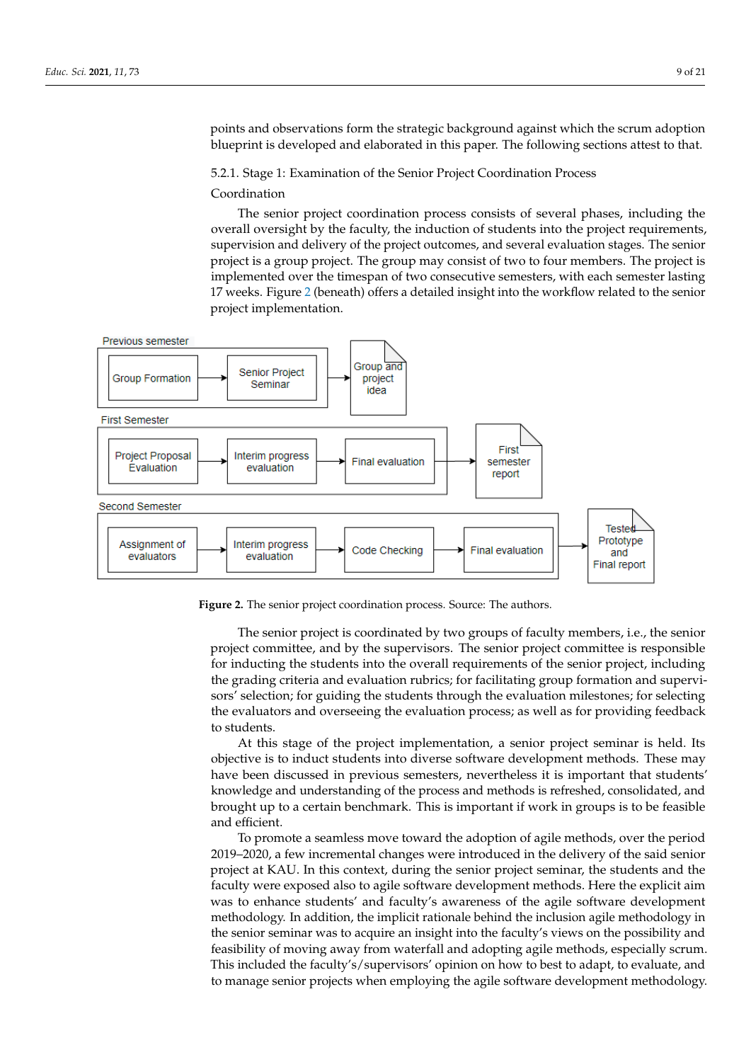points and observations form the strategic background against which the scrum adoption blueprint is developed and elaborated in this paper. The following sections attest to that.

5.2.1. Stage 1: Examination of the Senior Project Coordination Process

#### Coordination

The senior project coordination process consists of several phases, including the overall oversight by the faculty, the induction of students into the project requirements, supervision and delivery of the project outcomes, and several evaluation stages. The senior project is a group project. The group may consist of two to four members. The project is implemented over the timespan of two consecutive semesters, with each semester lasting 17 weeks. Figure 2 (beneath) offers a detailed insight into the workflow related to the senior project implementation.

<span id="page-8-0"></span>

**Figure 2.** The senior project coordination process. Source: The authors. **Figure 2.** The senior project coordination process. Source: The authors.

The senior project is coordinated by two groups of faculty members, i.e., the senior project committee, and by the supervisors. The senior project committee is responsible<br>for industing the students into the superll resulting the file senior project, including for madeling the statems into the overall requirements of the senior project, including the grading criteria and evaluation rubrics; for facilitating group formation and supervisors' selection; for guiding the students through the evaluation milestones; for selecting even to convert of  $\alpha$  important component of the teaching and  $\alpha$  is an important component of the teaching process in the system of the system of the system of the system of the system of the system of the system of t the evaluators and overseeing the evaluation process; as well as for providing feedback<br>to students for inducting the students into the overall requirements of the senior project, including to students.

At this stage of the project implementation, a senior project seminar is held. Its objective is to induct students into diverse software development methods. These may have been discussed in previous semesters, nevertheless it is important that students' knowledge and understanding of the process and methods is refreshed, consolidated, and brought up to a certain benchmark. This is important if work in groups is to be feasible and efficient.

To promote a seamless move toward the adoption of agile methods, over the period 2019–2020, a few incremental changes were introduced in the delivery of the said senior project at KAU. In this context, during the senior project seminar, the students and the faculty were exposed also to agile software development methods. Here the explicit aim was to enhance students' and faculty's awareness of the agile software development methodology. In addition, the implicit rationale behind the inclusion agile methodology in the senior seminar was to acquire an insight into the faculty's views on the possibility and feasibility of moving away from waterfall and adopting agile methods, especially scrum. This included the faculty's/supervisors' opinion on how to best to adapt, to evaluate, and to manage senior projects when employing the agile software development methodology.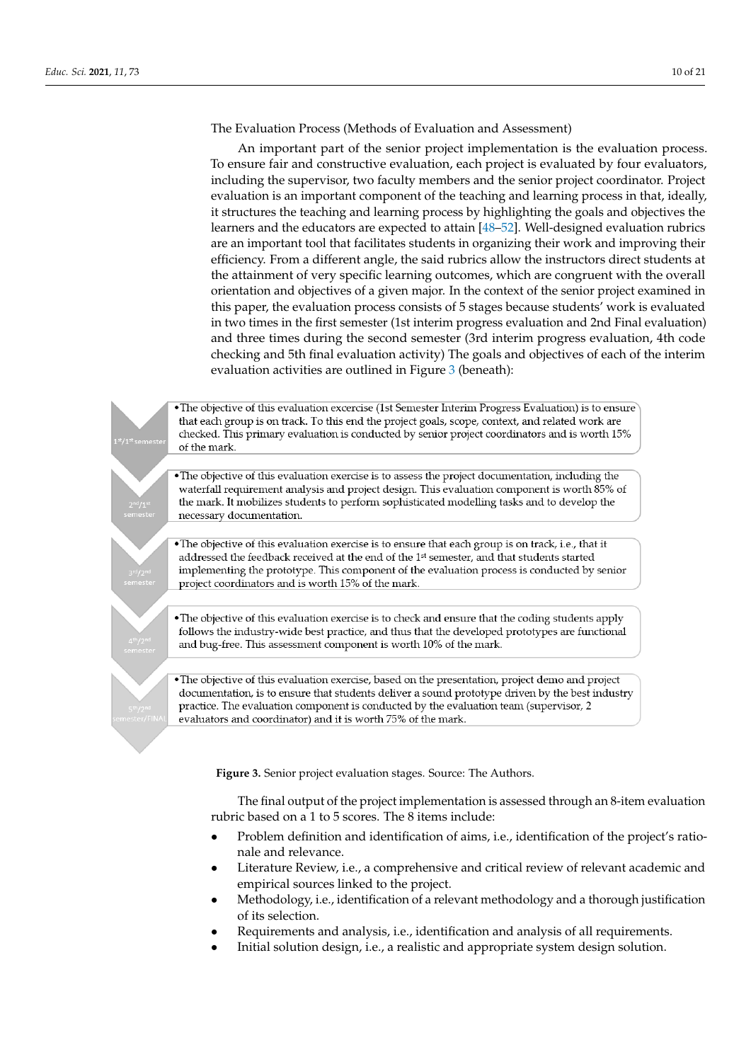The Evaluation Process (Methods of Evaluation and Assessment)

An important part of the senior project implementation is the evaluation process. To ensure fair and constructive evaluation, each project is evaluated by four evaluators, including the supervisor, two faculty members and the senior project coordinator. Project evaluation is an important component of the teaching and learning process in that, ideally, it structures the teaching and learning process by highlighting the goals and objectives the learners and the educators are expected to attain [\[48](#page-19-20)[–52\]](#page-19-21). Well-designed evaluation rubrics are an important tool that facilitates students in organizing their work and improving their efficiency. From a different angle, the said rubrics allow the instructors direct students at the attainment of very specific learning outcomes, which are congruent with the overall orientation and objectives of a given major. In the context of the senior project examined in this paper, the evaluation process consists of 5 stages because students' work is evaluated in two times in the first semester (1st interim progress evaluation and 2nd Final evaluation) and three times during the second semester (3rd interim progress evaluation, 4th code checking and 5th final evaluation activity) The goals and objectives of each of the interim *Educ. Sci.* **2021**, *11*, 73 11 of 22 evaluation activities are outlined in Figure [3](#page-9-0) (beneath):

> <span id="page-9-0"></span>. The objective of this evaluation excercise (1st Semester Interim Progress Evaluation) is to ensure that each group is on track. To this end the project goals, scope, context, and related work are checked. This primary evaluation is conducted by senior project coordinators and is worth 15% of the mark.

. The objective of this evaluation exercise is to assess the project documentation, including the waterfall requirement analysis and project design. This evaluation component is worth 85% of the mark. It mobilizes students to perform sophisticated modelling tasks and to develop the necessary documentation.

· The objective of this evaluation exercise is to ensure that each group is on track, i.e., that it addressed the feedback received at the end of the 1<sup>st</sup> semester, and that students started implementing the prototype. This component of the evaluation process is conducted by senior project coordinators and is worth 15% of the mark.

• The objective of this evaluation exercise is to check and ensure that the coding students apply follows the industry-wide best practice, and thus that the developed prototypes are functional and bug-free. This assessment component is worth 10% of the mark.

 $\bullet$  The objective of this evaluation exercise, based on the presentation, project demo and project documentation, is to ensure that students deliver a sound prototype driven by the best industry practice. The evaluation component is conducted by the evaluation team (supervisor, 2 evaluators and coordinator) and it is worth 75% of the mark.

**Figure 3.** Senior project evaluation stages. Source: The Authors. **Figure 3.** Senior project evaluation stages. Source: The Authors.

The final output of the project implementation is assessed through an 8-item evaluation rubric based on a 1 to 5 scores. The 8 items include:

- Problem definition and identification of aims, i.e., identification of the project's rationale and relevance.
- Literature Review, i.e., a comprehensive and critical review of relevant academic and Literature Review, i.e., a comprehensive and critical review of relevant academic and empirical sources linked to the project. empirical sources linked to the project.
- Methodology, i.e., identification of a relevant methodology and a thorough justification tion of its selection. of its selection.
- Requirements and analysis, i.e., identification and analysis of all requirements. Requirements and analysis, i.e., identification and analysis of all requirements.
- Initial solution design, i.e., a realistic and appropriate system design solution. Initial solution design, i.e., a realistic and appropriate system design solution.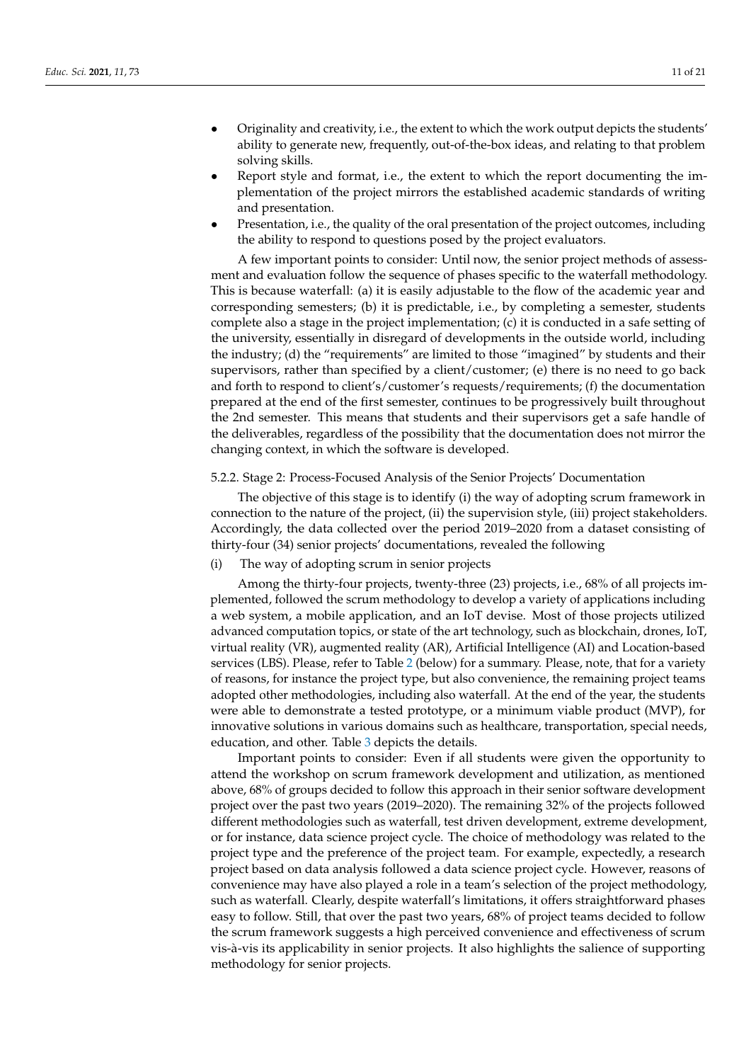- Originality and creativity, i.e., the extent to which the work output depicts the students' ability to generate new, frequently, out-of-the-box ideas, and relating to that problem solving skills.
- Report style and format, i.e., the extent to which the report documenting the implementation of the project mirrors the established academic standards of writing and presentation.
- Presentation, i.e., the quality of the oral presentation of the project outcomes, including the ability to respond to questions posed by the project evaluators.

A few important points to consider: Until now, the senior project methods of assessment and evaluation follow the sequence of phases specific to the waterfall methodology. This is because waterfall: (a) it is easily adjustable to the flow of the academic year and corresponding semesters; (b) it is predictable, i.e., by completing a semester, students complete also a stage in the project implementation; (c) it is conducted in a safe setting of the university, essentially in disregard of developments in the outside world, including the industry; (d) the "requirements" are limited to those "imagined" by students and their supervisors, rather than specified by a client/customer; (e) there is no need to go back and forth to respond to client's/customer's requests/requirements; (f) the documentation prepared at the end of the first semester, continues to be progressively built throughout the 2nd semester. This means that students and their supervisors get a safe handle of the deliverables, regardless of the possibility that the documentation does not mirror the changing context, in which the software is developed.

## 5.2.2. Stage 2: Process-Focused Analysis of the Senior Projects' Documentation

The objective of this stage is to identify (i) the way of adopting scrum framework in connection to the nature of the project, (ii) the supervision style, (iii) project stakeholders. Accordingly, the data collected over the period 2019–2020 from a dataset consisting of thirty-four (34) senior projects' documentations, revealed the following

(i) The way of adopting scrum in senior projects

Among the thirty-four projects, twenty-three (23) projects, i.e., 68% of all projects implemented, followed the scrum methodology to develop a variety of applications including a web system, a mobile application, and an IoT devise. Most of those projects utilized advanced computation topics, or state of the art technology, such as blockchain, drones, IoT, virtual reality (VR), augmented reality (AR), Artificial Intelligence (AI) and Location-based services (LBS). Please, refer to Table [2](#page-11-0) (below) for a summary. Please, note, that for a variety of reasons, for instance the project type, but also convenience, the remaining project teams adopted other methodologies, including also waterfall. At the end of the year, the students were able to demonstrate a tested prototype, or a minimum viable product (MVP), for innovative solutions in various domains such as healthcare, transportation, special needs, education, and other. Table [3](#page-11-1) depicts the details.

Important points to consider: Even if all students were given the opportunity to attend the workshop on scrum framework development and utilization, as mentioned above, 68% of groups decided to follow this approach in their senior software development project over the past two years (2019–2020). The remaining 32% of the projects followed different methodologies such as waterfall, test driven development, extreme development, or for instance, data science project cycle. The choice of methodology was related to the project type and the preference of the project team. For example, expectedly, a research project based on data analysis followed a data science project cycle. However, reasons of convenience may have also played a role in a team's selection of the project methodology, such as waterfall. Clearly, despite waterfall's limitations, it offers straightforward phases easy to follow. Still, that over the past two years, 68% of project teams decided to follow the scrum framework suggests a high perceived convenience and effectiveness of scrum vis-à-vis its applicability in senior projects. It also highlights the salience of supporting methodology for senior projects.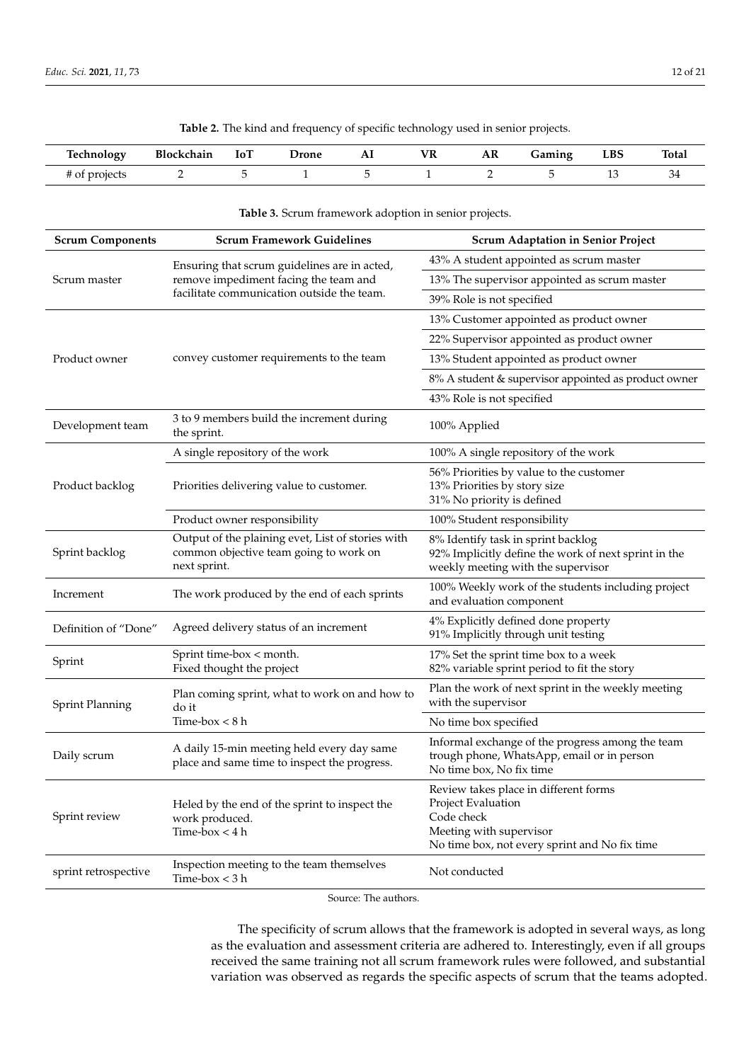**Table 2.** The kind and frequency of specific technology used in senior projects.

<span id="page-11-0"></span>

| Technology    | <b>Blockchain</b> | 10 <sub>1</sub> | Jrone<br>. | AП<br>------ | 7R | AR | Gaming | $_{\rm LBS}$ | Total |
|---------------|-------------------|-----------------|------------|--------------|----|----|--------|--------------|-------|
| f of projects |                   |                 |            |              |    |    |        | --           | ◡≖    |

<span id="page-11-1"></span>

|                         | Table 3. Scrum framework adoption in senior projects.                                                       |                                                                                                                                                       |  |  |  |  |  |  |  |
|-------------------------|-------------------------------------------------------------------------------------------------------------|-------------------------------------------------------------------------------------------------------------------------------------------------------|--|--|--|--|--|--|--|
| <b>Scrum Components</b> | <b>Scrum Framework Guidelines</b>                                                                           | <b>Scrum Adaptation in Senior Project</b>                                                                                                             |  |  |  |  |  |  |  |
|                         | Ensuring that scrum guidelines are in acted,                                                                | 43% A student appointed as scrum master                                                                                                               |  |  |  |  |  |  |  |
| Scrum master            | remove impediment facing the team and                                                                       | 13% The supervisor appointed as scrum master                                                                                                          |  |  |  |  |  |  |  |
|                         | facilitate communication outside the team.                                                                  | 39% Role is not specified                                                                                                                             |  |  |  |  |  |  |  |
|                         |                                                                                                             | 13% Customer appointed as product owner                                                                                                               |  |  |  |  |  |  |  |
|                         |                                                                                                             | 22% Supervisor appointed as product owner                                                                                                             |  |  |  |  |  |  |  |
| Product owner           | convey customer requirements to the team                                                                    | 13% Student appointed as product owner                                                                                                                |  |  |  |  |  |  |  |
|                         |                                                                                                             | 8% A student & supervisor appointed as product owner                                                                                                  |  |  |  |  |  |  |  |
|                         |                                                                                                             | 43% Role is not specified                                                                                                                             |  |  |  |  |  |  |  |
| Development team        | 3 to 9 members build the increment during<br>the sprint.                                                    | 100% Applied                                                                                                                                          |  |  |  |  |  |  |  |
|                         | A single repository of the work                                                                             | 100% A single repository of the work                                                                                                                  |  |  |  |  |  |  |  |
| Product backlog         | Priorities delivering value to customer.                                                                    | 56% Priorities by value to the customer<br>13% Priorities by story size<br>31% No priority is defined                                                 |  |  |  |  |  |  |  |
|                         | Product owner responsibility                                                                                | 100% Student responsibility                                                                                                                           |  |  |  |  |  |  |  |
| Sprint backlog          | Output of the plaining evet, List of stories with<br>common objective team going to work on<br>next sprint. | 8% Identify task in sprint backlog<br>92% Implicitly define the work of next sprint in the<br>weekly meeting with the supervisor                      |  |  |  |  |  |  |  |
| Increment               | The work produced by the end of each sprints                                                                | 100% Weekly work of the students including project<br>and evaluation component                                                                        |  |  |  |  |  |  |  |
| Definition of "Done"    | Agreed delivery status of an increment                                                                      | 4% Explicitly defined done property<br>91% Implicitly through unit testing                                                                            |  |  |  |  |  |  |  |
| Sprint                  | Sprint time-box < month.<br>Fixed thought the project                                                       | 17% Set the sprint time box to a week<br>82% variable sprint period to fit the story                                                                  |  |  |  |  |  |  |  |
| <b>Sprint Planning</b>  | Plan coming sprint, what to work on and how to<br>do it                                                     | Plan the work of next sprint in the weekly meeting<br>with the supervisor                                                                             |  |  |  |  |  |  |  |
|                         | Time-box $< 8 h$                                                                                            | No time box specified                                                                                                                                 |  |  |  |  |  |  |  |
| Daily scrum             | A daily 15-min meeting held every day same<br>place and same time to inspect the progress.                  | Informal exchange of the progress among the team<br>trough phone, WhatsApp, email or in person<br>No time box, No fix time                            |  |  |  |  |  |  |  |
| Sprint review           | Heled by the end of the sprint to inspect the<br>work produced.<br>Time-box $<$ 4 h                         | Review takes place in different forms<br>Project Evaluation<br>Code check<br>Meeting with supervisor<br>No time box, not every sprint and No fix time |  |  |  |  |  |  |  |
| sprint retrospective    | Inspection meeting to the team themselves<br>Time-box < 3 h                                                 | Not conducted                                                                                                                                         |  |  |  |  |  |  |  |

Source: The authors.

The specificity of scrum allows that the framework is adopted in several ways, as long as the evaluation and assessment criteria are adhered to. Interestingly, even if all groups received the same training not all scrum framework rules were followed, and substantial variation was observed as regards the specific aspects of scrum that the teams adopted.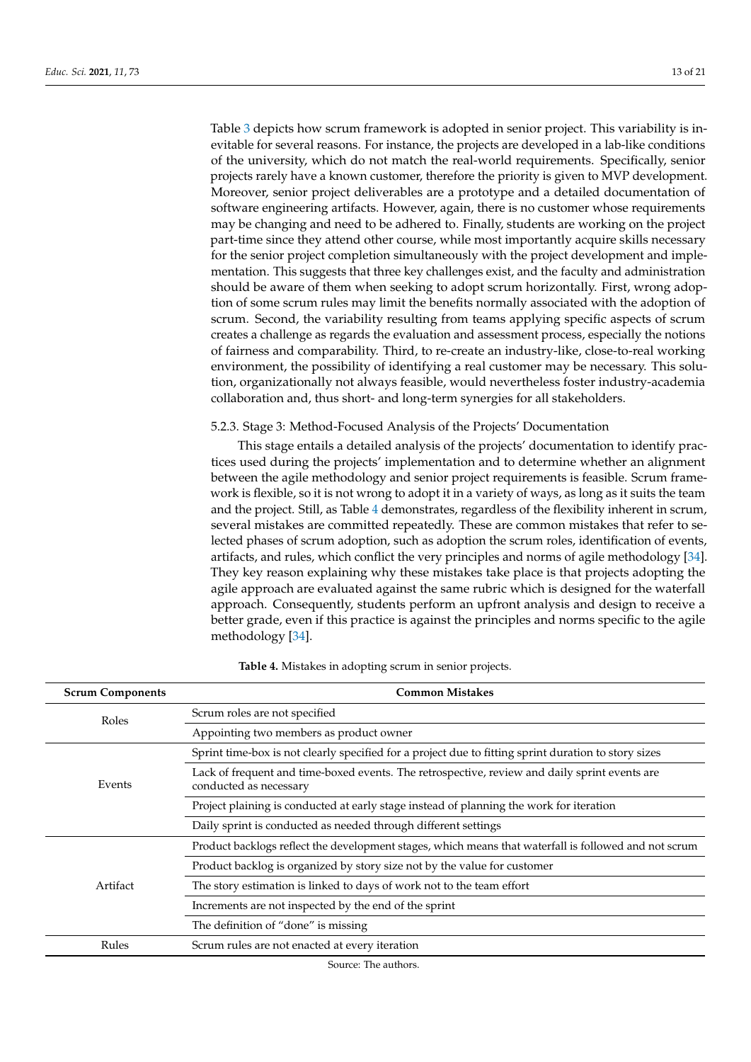Table [3](#page-11-1) depicts how scrum framework is adopted in senior project. This variability is inevitable for several reasons. For instance, the projects are developed in a lab-like conditions of the university, which do not match the real-world requirements. Specifically, senior projects rarely have a known customer, therefore the priority is given to MVP development. Moreover, senior project deliverables are a prototype and a detailed documentation of software engineering artifacts. However, again, there is no customer whose requirements may be changing and need to be adhered to. Finally, students are working on the project part-time since they attend other course, while most importantly acquire skills necessary for the senior project completion simultaneously with the project development and implementation. This suggests that three key challenges exist, and the faculty and administration should be aware of them when seeking to adopt scrum horizontally. First, wrong adoption of some scrum rules may limit the benefits normally associated with the adoption of scrum. Second, the variability resulting from teams applying specific aspects of scrum creates a challenge as regards the evaluation and assessment process, especially the notions of fairness and comparability. Third, to re-create an industry-like, close-to-real working environment, the possibility of identifying a real customer may be necessary. This solution, organizationally not always feasible, would nevertheless foster industry-academia collaboration and, thus short- and long-term synergies for all stakeholders.

## 5.2.3. Stage 3: Method-Focused Analysis of the Projects' Documentation

This stage entails a detailed analysis of the projects' documentation to identify practices used during the projects' implementation and to determine whether an alignment between the agile methodology and senior project requirements is feasible. Scrum framework is flexible, so it is not wrong to adopt it in a variety of ways, as long as it suits the team and the project. Still, as Table [4](#page-12-0) demonstrates, regardless of the flexibility inherent in scrum, several mistakes are committed repeatedly. These are common mistakes that refer to selected phases of scrum adoption, such as adoption the scrum roles, identification of events, artifacts, and rules, which conflict the very principles and norms of agile methodology [\[34\]](#page-19-6). They key reason explaining why these mistakes take place is that projects adopting the agile approach are evaluated against the same rubric which is designed for the waterfall approach. Consequently, students perform an upfront analysis and design to receive a better grade, even if this practice is against the principles and norms specific to the agile methodology [\[34\]](#page-19-6).

<span id="page-12-0"></span>

| <b>Scrum Components</b> | <b>Common Mistakes</b>                                                                                                  |
|-------------------------|-------------------------------------------------------------------------------------------------------------------------|
| Roles                   | Scrum roles are not specified                                                                                           |
|                         | Appointing two members as product owner                                                                                 |
|                         | Sprint time-box is not clearly specified for a project due to fitting sprint duration to story sizes                    |
| Events                  | Lack of frequent and time-boxed events. The retrospective, review and daily sprint events are<br>conducted as necessary |
|                         | Project plaining is conducted at early stage instead of planning the work for iteration                                 |
|                         | Daily sprint is conducted as needed through different settings                                                          |
|                         | Product backlogs reflect the development stages, which means that waterfall is followed and not scrum                   |
|                         | Product backlog is organized by story size not by the value for customer                                                |
| Artifact                | The story estimation is linked to days of work not to the team effort                                                   |
|                         | Increments are not inspected by the end of the sprint                                                                   |
|                         | The definition of "done" is missing                                                                                     |
| Rules                   | Scrum rules are not enacted at every iteration                                                                          |
|                         |                                                                                                                         |

**Table 4.** Mistakes in adopting scrum in senior projects.

Source: The authors.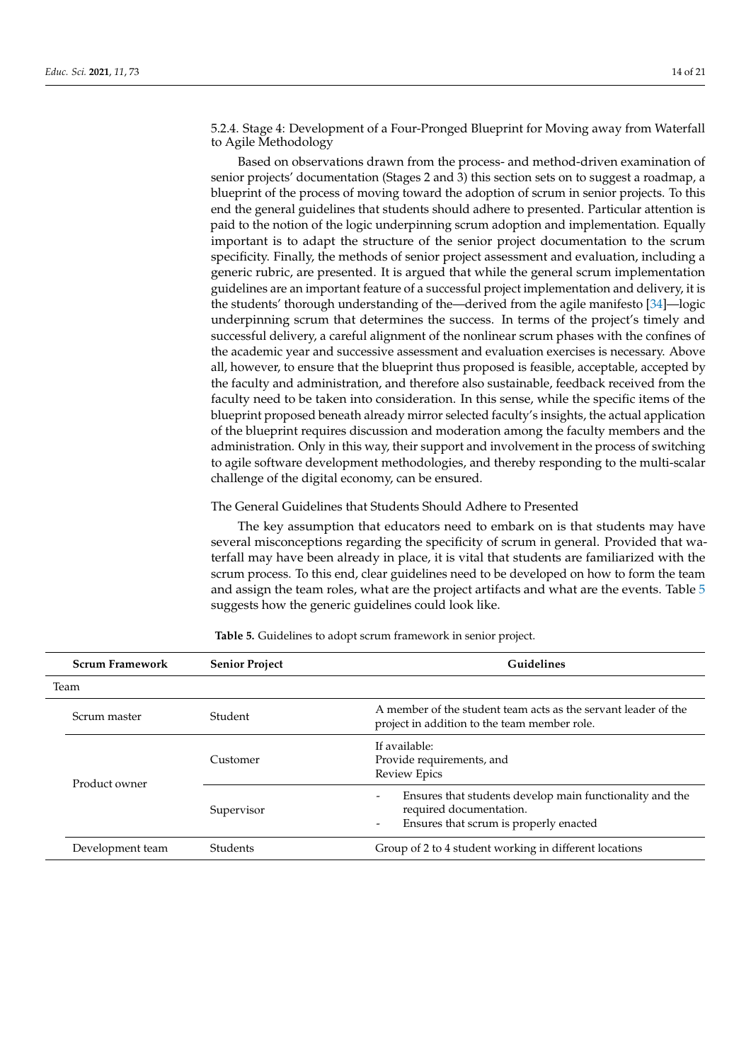5.2.4. Stage 4: Development of a Four-Pronged Blueprint for Moving away from Waterfall to Agile Methodology

Based on observations drawn from the process- and method-driven examination of senior projects' documentation (Stages 2 and 3) this section sets on to suggest a roadmap, a blueprint of the process of moving toward the adoption of scrum in senior projects. To this end the general guidelines that students should adhere to presented. Particular attention is paid to the notion of the logic underpinning scrum adoption and implementation. Equally important is to adapt the structure of the senior project documentation to the scrum specificity. Finally, the methods of senior project assessment and evaluation, including a generic rubric, are presented. It is argued that while the general scrum implementation guidelines are an important feature of a successful project implementation and delivery, it is the students' thorough understanding of the—derived from the agile manifesto [\[34\]](#page-19-6)—logic underpinning scrum that determines the success. In terms of the project's timely and successful delivery, a careful alignment of the nonlinear scrum phases with the confines of the academic year and successive assessment and evaluation exercises is necessary. Above all, however, to ensure that the blueprint thus proposed is feasible, acceptable, accepted by the faculty and administration, and therefore also sustainable, feedback received from the faculty need to be taken into consideration. In this sense, while the specific items of the blueprint proposed beneath already mirror selected faculty's insights, the actual application of the blueprint requires discussion and moderation among the faculty members and the administration. Only in this way, their support and involvement in the process of switching to agile software development methodologies, and thereby responding to the multi-scalar challenge of the digital economy, can be ensured.

### The General Guidelines that Students Should Adhere to Presented

The key assumption that educators need to embark on is that students may have several misconceptions regarding the specificity of scrum in general. Provided that waterfall may have been already in place, it is vital that students are familiarized with the scrum process. To this end, clear guidelines need to be developed on how to form the team and assign the team roles, what are the project artifacts and what are the events. Table [5](#page-14-0) suggests how the generic guidelines could look like.

| <b>Scrum Framework</b> | <b>Senior Project</b> | <b>Guidelines</b>                                                                                                                                         |
|------------------------|-----------------------|-----------------------------------------------------------------------------------------------------------------------------------------------------------|
| Team                   |                       |                                                                                                                                                           |
| Scrum master           | Student               | A member of the student team acts as the servant leader of the<br>project in addition to the team member role.                                            |
| Product owner          | Customer              | If available:<br>Provide requirements, and<br><b>Review Epics</b>                                                                                         |
|                        | Supervisor            | Ensures that students develop main functionality and the<br>required documentation.<br>Ensures that scrum is properly enacted<br>$\overline{\phantom{a}}$ |
| Development team       | Students              | Group of 2 to 4 student working in different locations                                                                                                    |

**Table 5.** Guidelines to adopt scrum framework in senior project.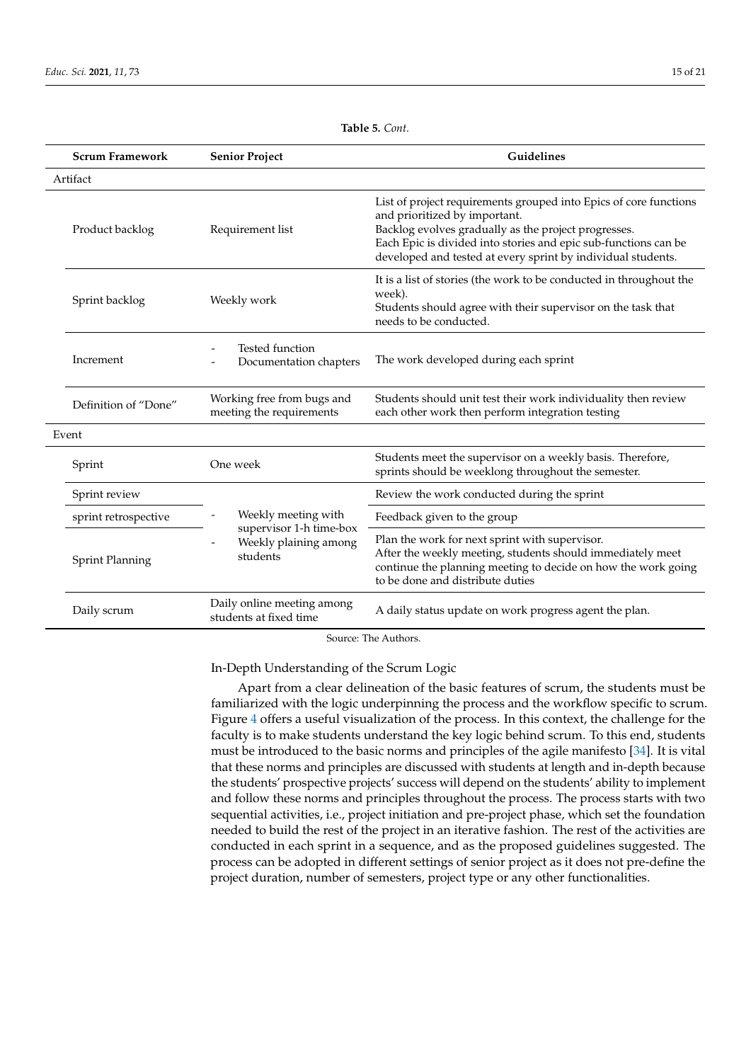| Table 5. Cont. |  |  |
|----------------|--|--|
|----------------|--|--|

<span id="page-14-0"></span>

| <b>Scrum Framework</b><br><b>Senior Project</b> |                                                              | Guidelines                                                                                                                                                                                                                                                                                    |  |  |  |  |  |  |
|-------------------------------------------------|--------------------------------------------------------------|-----------------------------------------------------------------------------------------------------------------------------------------------------------------------------------------------------------------------------------------------------------------------------------------------|--|--|--|--|--|--|
| Artifact                                        |                                                              |                                                                                                                                                                                                                                                                                               |  |  |  |  |  |  |
| Product backlog                                 | Requirement list                                             | List of project requirements grouped into Epics of core functions<br>and prioritized by important.<br>Backlog evolves gradually as the project progresses.<br>Each Epic is divided into stories and epic sub-functions can be<br>developed and tested at every sprint by individual students. |  |  |  |  |  |  |
| Sprint backlog                                  | Weekly work                                                  | It is a list of stories (the work to be conducted in throughout the<br>week).<br>Students should agree with their supervisor on the task that<br>needs to be conducted.                                                                                                                       |  |  |  |  |  |  |
| Increment                                       | Tested function<br>Documentation chapters                    | The work developed during each sprint                                                                                                                                                                                                                                                         |  |  |  |  |  |  |
| Definition of "Done"                            | Working free from bugs and<br>meeting the requirements       | Students should unit test their work individuality then review<br>each other work then perform integration testing                                                                                                                                                                            |  |  |  |  |  |  |
| Event                                           |                                                              |                                                                                                                                                                                                                                                                                               |  |  |  |  |  |  |
| Sprint                                          | One week                                                     | Students meet the supervisor on a weekly basis. Therefore,<br>sprints should be weeklong throughout the semester.                                                                                                                                                                             |  |  |  |  |  |  |
| Sprint review                                   |                                                              | Review the work conducted during the sprint                                                                                                                                                                                                                                                   |  |  |  |  |  |  |
| sprint retrospective                            | Weekly meeting with                                          | Feedback given to the group                                                                                                                                                                                                                                                                   |  |  |  |  |  |  |
| <b>Sprint Planning</b>                          | supervisor 1-h time-box<br>Weekly plaining among<br>students | Plan the work for next sprint with supervisor.<br>After the weekly meeting, students should immediately meet<br>continue the planning meeting to decide on how the work going<br>to be done and distribute duties                                                                             |  |  |  |  |  |  |
| Daily scrum                                     | Daily online meeting among<br>students at fixed time         | A daily status update on work progress agent the plan.                                                                                                                                                                                                                                        |  |  |  |  |  |  |

Source: The Authors.

In-Depth Understanding of the Scrum Logic

Apart from a clear delineation of the basic features of scrum, the students must be familiarized with the logic underpinning the process and the workflow specific to scrum. Figure [4](#page-15-0) offers a useful visualization of the process. In this context, the challenge for the faculty is to make students understand the key logic behind scrum. To this end, students must be introduced to the basic norms and principles of the agile manifesto [\[34\]](#page-19-6). It is vital that these norms and principles are discussed with students at length and in-depth because the students' prospective projects' success will depend on the students' ability to implement and follow these norms and principles throughout the process. The process starts with two sequential activities, i.e., project initiation and pre-project phase, which set the foundation needed to build the rest of the project in an iterative fashion. The rest of the activities are conducted in each sprint in a sequence, and as the proposed guidelines suggested. The process can be adopted in different settings of senior project as it does not pre-define the project duration, number of semesters, project type or any other functionalities.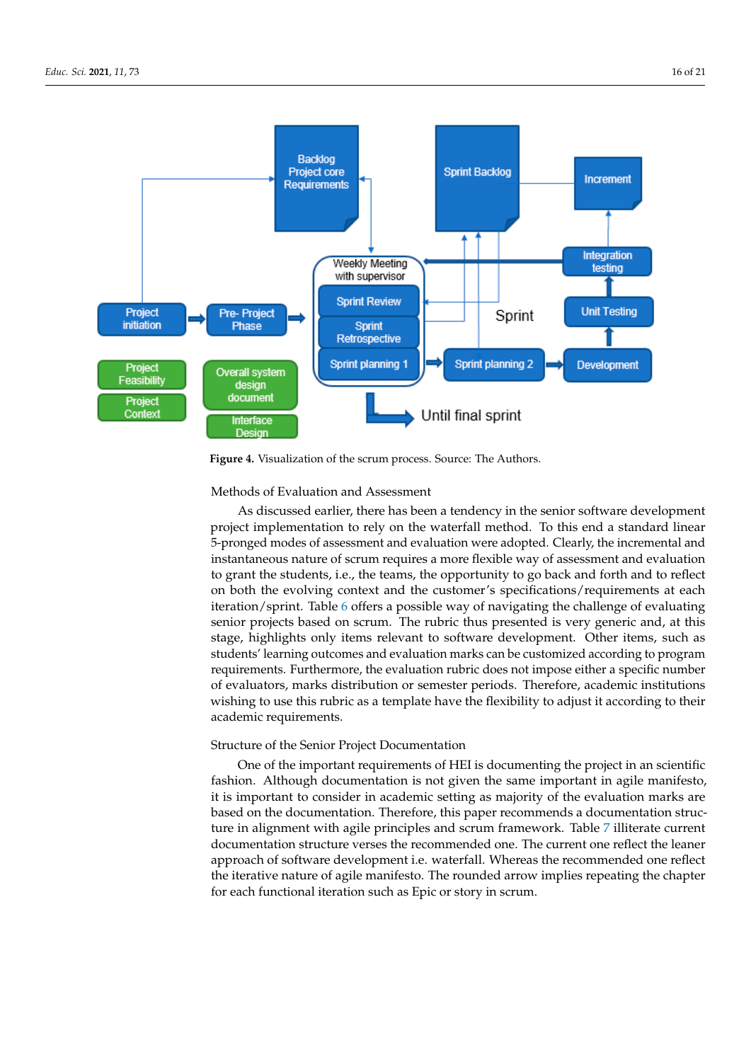<span id="page-15-0"></span>

**Figure 4.** Visualization of the scrum process. Source: The Authors. **Figure 4.** Visualization of the scrum process. Source: The Authors.

## Methods of Evaluation and Assessment

As discussed earlier, there has been a tendency in the senior software development project implementation to rely on the waterfall method. To this end a standard linear 5-pronged modes of assessment and evaluation were adopted. Clearly, the incremental and instantaneous nature of scrum requires a more flexible way of assessment and evaluation to grant the students, i.e., the teams, the opportunity to go back and forth and to reflect on both the evolving context and the customer's specifications/requirements at each iteration/sprint. Table [6](#page-16-0) offers a possible way of navigating the challenge of evaluating senior projects based on scrum. The rubric thus presented is very generic and, at this stage, highlights only items relevant to software development. Other items, such as students' learning outcomes and evaluation marks can be customized according to program requirements. Furthermore, the evaluation rubric does not impose either a specific number of evaluators, marks distribution or semester periods. Therefore, academic institutions wishing to use this rubric as a template have the flexibility to adjust it according to their academic requirements.

#### Structure of the Senior Project Documentation

One of the important requirements of HEI is documenting the project in an scientific fashion. Although documentation is not given the same important in agile manifesto, it is important to consider in academic setting as majority of the evaluation marks are based on the documentation. Therefore, this paper recommends a documentation structure in alignment with agile principles and scrum framework. Table [7](#page-16-1) illiterate current documentation structure verses the recommended one. The current one reflect the leaner approach of software development i.e. waterfall. Whereas the recommended one reflect the iterative nature of agile manifesto. The rounded arrow implies repeating the chapter for each functional iteration such as Epic or story in scrum.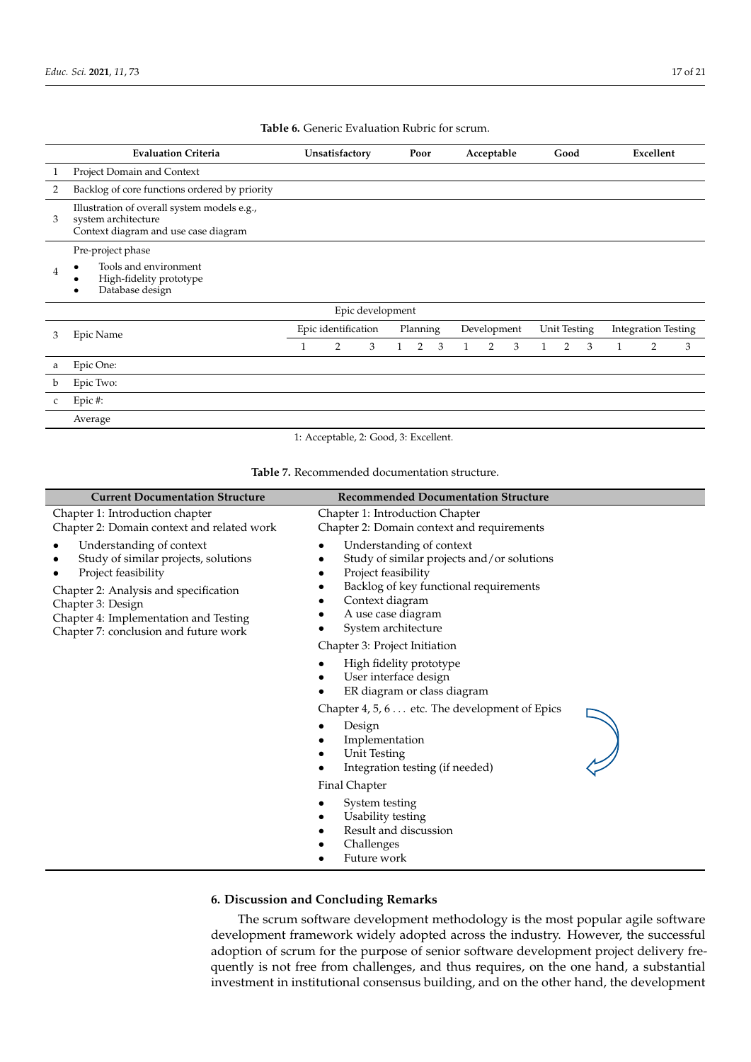<span id="page-16-0"></span>

|   | <b>Evaluation Criteria</b>                                                                                 |              | Unsatisfactory      |                  |              | Poor     |   |              | Acceptable     |   |                | Good         |   |   | Excellent                  |   |
|---|------------------------------------------------------------------------------------------------------------|--------------|---------------------|------------------|--------------|----------|---|--------------|----------------|---|----------------|--------------|---|---|----------------------------|---|
|   | Project Domain and Context                                                                                 |              |                     |                  |              |          |   |              |                |   |                |              |   |   |                            |   |
| 2 | Backlog of core functions ordered by priority                                                              |              |                     |                  |              |          |   |              |                |   |                |              |   |   |                            |   |
| 3 | Illustration of overall system models e.g.,<br>system architecture<br>Context diagram and use case diagram |              |                     |                  |              |          |   |              |                |   |                |              |   |   |                            |   |
| 4 | Pre-project phase<br>Tools and environment<br>High-fidelity prototype<br>Database design                   |              |                     |                  |              |          |   |              |                |   |                |              |   |   |                            |   |
|   |                                                                                                            |              |                     | Epic development |              |          |   |              |                |   |                |              |   |   |                            |   |
| 3 | Epic Name                                                                                                  |              | Epic identification |                  |              | Planning |   |              | Development    |   |                | Unit Testing |   |   | <b>Integration Testing</b> |   |
|   |                                                                                                            | $\mathbf{1}$ | 2                   | 3                | $\mathbf{1}$ | 2        | 3 | $\mathbf{1}$ | $\overline{2}$ | 3 | $\overline{1}$ | 2            | 3 | 1 | $\overline{2}$             | 3 |
| a | Epic One:                                                                                                  |              |                     |                  |              |          |   |              |                |   |                |              |   |   |                            |   |
| b | Epic Two:                                                                                                  |              |                     |                  |              |          |   |              |                |   |                |              |   |   |                            |   |
| C | Epic#:                                                                                                     |              |                     |                  |              |          |   |              |                |   |                |              |   |   |                            |   |
|   | Average                                                                                                    |              |                     |                  |              |          |   |              |                |   |                |              |   |   |                            |   |

**Table 6.** Generic Evaluation Rubric for scrum.

1: Acceptable, 2: Good, 3: Excellent. Table 7. Recommended documentation structure.

<span id="page-16-1"></span>

| <b>Current Documentation Structure</b>                                                                                                                                                                                                  | <b>Recommended Documentation Structure</b>                                                                                                                                                                                                                                          |
|-----------------------------------------------------------------------------------------------------------------------------------------------------------------------------------------------------------------------------------------|-------------------------------------------------------------------------------------------------------------------------------------------------------------------------------------------------------------------------------------------------------------------------------------|
| Chapter 1: Introduction chapter<br>Chapter 2: Domain context and related work                                                                                                                                                           | Chapter 1: Introduction Chapter<br>Chapter 2: Domain context and requirements                                                                                                                                                                                                       |
| Understanding of context<br>Study of similar projects, solutions<br>Project feasibility<br>Chapter 2: Analysis and specification<br>Chapter 3: Design<br>Chapter 4: Implementation and Testing<br>Chapter 7: conclusion and future work | Understanding of context<br>Study of similar projects and/or solutions<br>Project feasibility<br>Backlog of key functional requirements<br>Context diagram<br>A use case diagram<br>System architecture                                                                             |
|                                                                                                                                                                                                                                         | Chapter 3: Project Initiation<br>High fidelity prototype<br>User interface design<br>ER diagram or class diagram<br>Chapter 4, 5, 6 etc. The development of Epics<br>Design<br>Implementation<br>Unit Testing<br>Integration testing (if needed)<br>Final Chapter<br>System testing |
|                                                                                                                                                                                                                                         | Usability testing<br>Result and discussion<br>Challenges<br>Future work                                                                                                                                                                                                             |

## **6. Discussion and Concluding Remarks**

The scrum software development methodology is the most popular agile software development framework widely adopted across the industry. However, the successful adoption of scrum for the purpose of senior software development project delivery frequently is not free from challenges, and thus requires, on the one hand, a substantial investment in institutional consensus building, and on the other hand, the development vestment in institutional consensus building, and on the other hand, the other hand, the development of  $\alpha$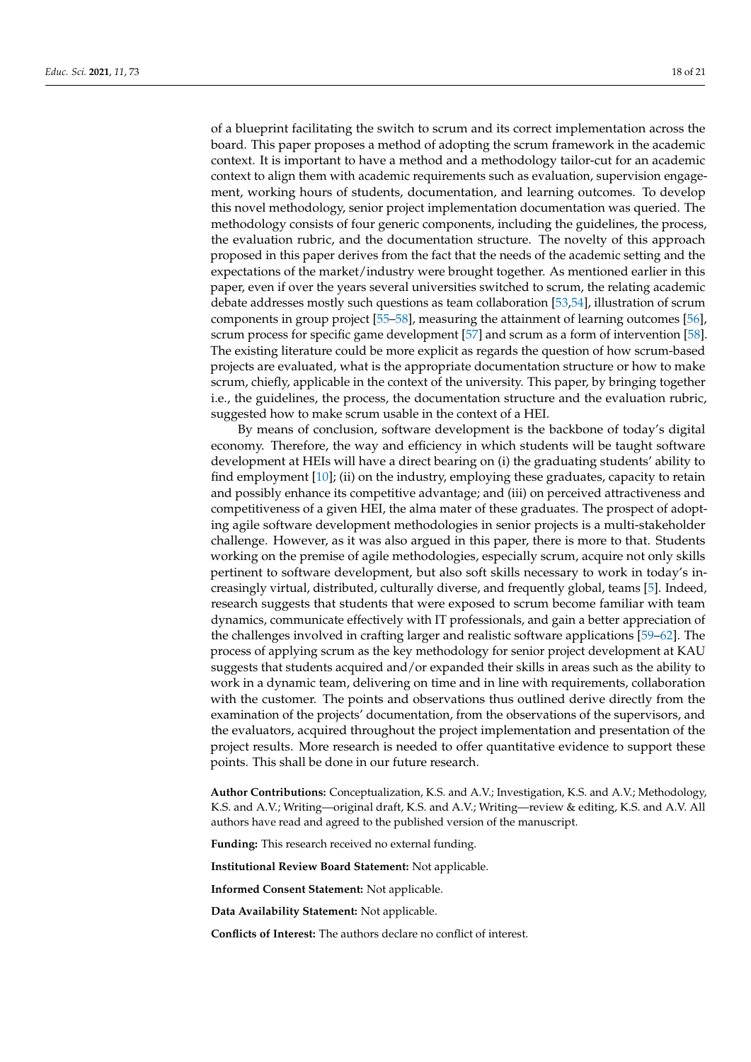of a blueprint facilitating the switch to scrum and its correct implementation across the board. This paper proposes a method of adopting the scrum framework in the academic context. It is important to have a method and a methodology tailor-cut for an academic context to align them with academic requirements such as evaluation, supervision engagement, working hours of students, documentation, and learning outcomes. To develop this novel methodology, senior project implementation documentation was queried. The methodology consists of four generic components, including the guidelines, the process, the evaluation rubric, and the documentation structure. The novelty of this approach proposed in this paper derives from the fact that the needs of the academic setting and the expectations of the market/industry were brought together. As mentioned earlier in this paper, even if over the years several universities switched to scrum, the relating academic debate addresses mostly such questions as team collaboration [\[53](#page-19-22)[,54\]](#page-19-23), illustration of scrum components in group project [\[55–](#page-19-24)[58\]](#page-19-25), measuring the attainment of learning outcomes [\[56\]](#page-19-26), scrum process for specific game development [\[57\]](#page-19-27) and scrum as a form of intervention [\[58\]](#page-19-25). The existing literature could be more explicit as regards the question of how scrum-based projects are evaluated, what is the appropriate documentation structure or how to make scrum, chiefly, applicable in the context of the university. This paper, by bringing together i.e., the guidelines, the process, the documentation structure and the evaluation rubric, suggested how to make scrum usable in the context of a HEI.

By means of conclusion, software development is the backbone of today's digital economy. Therefore, the way and efficiency in which students will be taught software development at HEIs will have a direct bearing on (i) the graduating students' ability to find employment [\[10\]](#page-18-8); (ii) on the industry, employing these graduates, capacity to retain and possibly enhance its competitive advantage; and (iii) on perceived attractiveness and competitiveness of a given HEI, the alma mater of these graduates. The prospect of adopting agile software development methodologies in senior projects is a multi-stakeholder challenge. However, as it was also argued in this paper, there is more to that. Students working on the premise of agile methodologies, especially scrum, acquire not only skills pertinent to software development, but also soft skills necessary to work in today's increasingly virtual, distributed, culturally diverse, and frequently global, teams [\[5\]](#page-18-4). Indeed, research suggests that students that were exposed to scrum become familiar with team dynamics, communicate effectively with IT professionals, and gain a better appreciation of the challenges involved in crafting larger and realistic software applications [\[59–](#page-19-28)[62\]](#page-20-0). The process of applying scrum as the key methodology for senior project development at KAU suggests that students acquired and/or expanded their skills in areas such as the ability to work in a dynamic team, delivering on time and in line with requirements, collaboration with the customer. The points and observations thus outlined derive directly from the examination of the projects' documentation, from the observations of the supervisors, and the evaluators, acquired throughout the project implementation and presentation of the project results. More research is needed to offer quantitative evidence to support these points. This shall be done in our future research.

**Author Contributions:** Conceptualization, K.S. and A.V.; Investigation, K.S. and A.V.; Methodology, K.S. and A.V.; Writing—original draft, K.S. and A.V.; Writing—review & editing, K.S. and A.V. All authors have read and agreed to the published version of the manuscript.

**Funding:** This research received no external funding.

**Institutional Review Board Statement:** Not applicable.

**Informed Consent Statement:** Not applicable.

**Data Availability Statement:** Not applicable.

**Conflicts of Interest:** The authors declare no conflict of interest.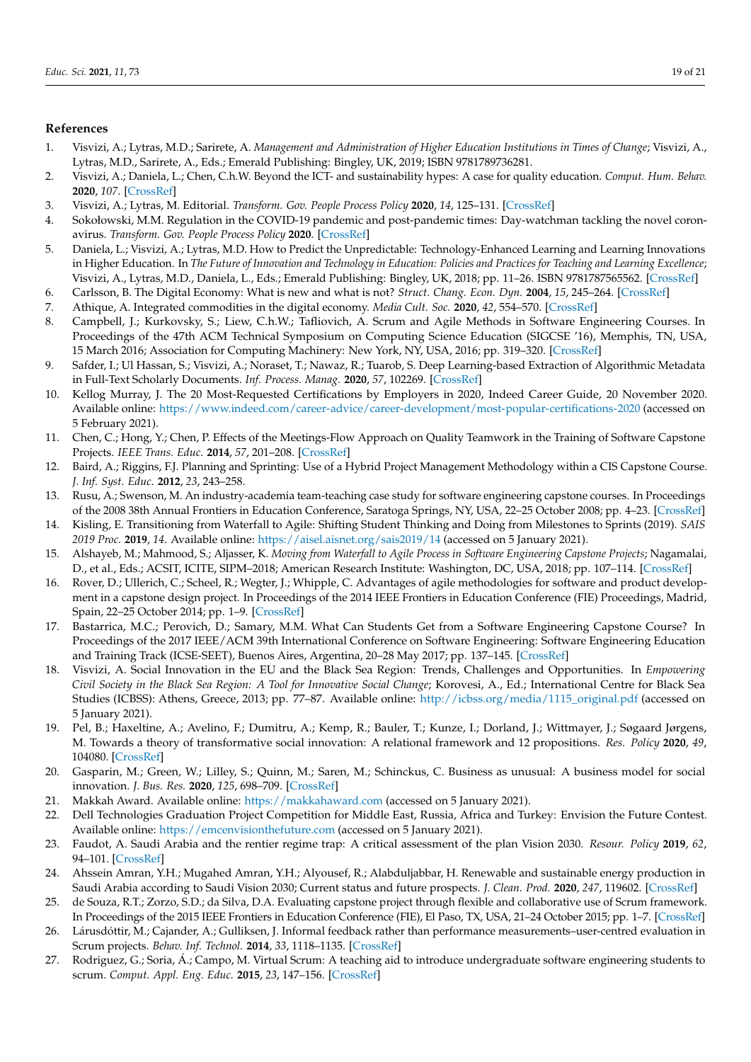## **References**

- <span id="page-18-0"></span>1. Visvizi, A.; Lytras, M.D.; Sarirete, A. *Management and Administration of Higher Education Institutions in Times of Change*; Visvizi, A., Lytras, M.D., Sarirete, A., Eds.; Emerald Publishing: Bingley, UK, 2019; ISBN 9781789736281.
- <span id="page-18-1"></span>2. Visvizi, A.; Daniela, L.; Chen, C.h.W. Beyond the ICT- and sustainability hypes: A case for quality education. *Comput. Hum. Behav.* **2020**, *107*. [\[CrossRef\]](http://doi.org/10.1016/j.chb.2020.106304)
- <span id="page-18-2"></span>3. Visvizi, A.; Lytras, M. Editorial. *Transform. Gov. People Process Policy* **2020**, *14*, 125–131. [\[CrossRef\]](http://doi.org/10.1108/TG-05-2020-128)
- <span id="page-18-3"></span>4. Sokołowski, M.M. Regulation in the COVID-19 pandemic and post-pandemic times: Day-watchman tackling the novel coronavirus. *Transform. Gov. People Process Policy* **2020**. [\[CrossRef\]](http://doi.org/10.1108/TG-07-2020-0142)
- <span id="page-18-4"></span>5. Daniela, L.; Visvizi, A.; Lytras, M.D. How to Predict the Unpredictable: Technology-Enhanced Learning and Learning Innovations in Higher Education. In *The Future of Innovation and Technology in Education: Policies and Practices for Teaching and Learning Excellence*; Visvizi, A., Lytras, M.D., Daniela, L., Eds.; Emerald Publishing: Bingley, UK, 2018; pp. 11–26. ISBN 9781787565562. [\[CrossRef\]](http://doi.org/10.1108/978-1-78756-555-520181015)
- <span id="page-18-5"></span>6. Carlsson, B. The Digital Economy: What is new and what is not? *Struct. Chang. Econ. Dyn.* **2004**, *15*, 245–264. [\[CrossRef\]](http://doi.org/10.1016/j.strueco.2004.02.001)
- <span id="page-18-6"></span>7. Athique, A. Integrated commodities in the digital economy. *Media Cult. Soc.* **2020**, *42*, 554–570. [\[CrossRef\]](http://doi.org/10.1177/0163443719861815)
- <span id="page-18-7"></span>8. Campbell, J.; Kurkovsky, S.; Liew, C.h.W.; Tafliovich, A. Scrum and Agile Methods in Software Engineering Courses. In Proceedings of the 47th ACM Technical Symposium on Computing Science Education (SIGCSE '16), Memphis, TN, USA, 15 March 2016; Association for Computing Machinery: New York, NY, USA, 2016; pp. 319–320. [\[CrossRef\]](http://doi.org/10.1145/2839509.2844664)
- 9. Safder, I.; Ul Hassan, S.; Visvizi, A.; Noraset, T.; Nawaz, R.; Tuarob, S. Deep Learning-based Extraction of Algorithmic Metadata in Full-Text Scholarly Documents. *Inf. Process. Manag.* **2020**, *57*, 102269. [\[CrossRef\]](http://doi.org/10.1016/j.ipm.2020.102269)
- <span id="page-18-8"></span>10. Kellog Murray, J. The 20 Most-Requested Certifications by Employers in 2020, Indeed Career Guide, 20 November 2020. Available online: <https://www.indeed.com/career-advice/career-development/most-popular-certifications-2020> (accessed on 5 February 2021).
- <span id="page-18-9"></span>11. Chen, C.; Hong, Y.; Chen, P. Effects of the Meetings-Flow Approach on Quality Teamwork in the Training of Software Capstone Projects. *IEEE Trans. Educ.* **2014**, *57*, 201–208. [\[CrossRef\]](http://doi.org/10.1109/TE.2014.2305918)
- 12. Baird, A.; Riggins, F.J. Planning and Sprinting: Use of a Hybrid Project Management Methodology within a CIS Capstone Course. *J. Inf. Syst. Educ.* **2012**, *23*, 243–258.
- <span id="page-18-11"></span>13. Rusu, A.; Swenson, M. An industry-academia team-teaching case study for software engineering capstone courses. In Proceedings of the 2008 38th Annual Frontiers in Education Conference, Saratoga Springs, NY, USA, 22–25 October 2008; pp. 4–23. [\[CrossRef\]](http://doi.org/10.1109/FIE.2008.4720543)
- <span id="page-18-10"></span>14. Kisling, E. Transitioning from Waterfall to Agile: Shifting Student Thinking and Doing from Milestones to Sprints (2019). *SAIS 2019 Proc.* **2019**, *14*. Available online: <https://aisel.aisnet.org/sais2019/14> (accessed on 5 January 2021).
- 15. Alshayeb, M.; Mahmood, S.; Aljasser, K. *Moving from Waterfall to Agile Process in Software Engineering Capstone Projects*; Nagamalai, D., et al., Eds.; ACSIT, ICITE, SIPM–2018; American Research Institute: Washington, DC, USA, 2018; pp. 107–114. [\[CrossRef\]](http://doi.org/10.5121/csit.2018.80808)
- 16. Rover, D.; Ullerich, C.; Scheel, R.; Wegter, J.; Whipple, C. Advantages of agile methodologies for software and product development in a capstone design project. In Proceedings of the 2014 IEEE Frontiers in Education Conference (FIE) Proceedings, Madrid, Spain, 22–25 October 2014; pp. 1–9. [\[CrossRef\]](http://doi.org/10.1109/FIE.2014.7044380)
- <span id="page-18-12"></span>17. Bastarrica, M.C.; Perovich, D.; Samary, M.M. What Can Students Get from a Software Engineering Capstone Course? In Proceedings of the 2017 IEEE/ACM 39th International Conference on Software Engineering: Software Engineering Education and Training Track (ICSE-SEET), Buenos Aires, Argentina, 20–28 May 2017; pp. 137–145. [\[CrossRef\]](http://doi.org/10.1109/ICSE-SEET.2017.15)
- <span id="page-18-13"></span>18. Visvizi, A. Social Innovation in the EU and the Black Sea Region: Trends, Challenges and Opportunities. In *Empowering Civil Society in the Black Sea Region: A Tool for Innovative Social Change*; Korovesi, A., Ed.; International Centre for Black Sea Studies (ICBSS): Athens, Greece, 2013; pp. 77–87. Available online: [http://icbss.org/media/1115\\_original.pdf](http://icbss.org/media/1115_original.pdf) (accessed on 5 January 2021).
- 19. Pel, B.; Haxeltine, A.; Avelino, F.; Dumitru, A.; Kemp, R.; Bauler, T.; Kunze, I.; Dorland, J.; Wittmayer, J.; Søgaard Jørgens, M. Towards a theory of transformative social innovation: A relational framework and 12 propositions. *Res. Policy* **2020**, *49*, 104080. [\[CrossRef\]](http://doi.org/10.1016/j.respol.2020.104080)
- <span id="page-18-14"></span>20. Gasparin, M.; Green, W.; Lilley, S.; Quinn, M.; Saren, M.; Schinckus, C. Business as unusual: A business model for social innovation. *J. Bus. Res.* **2020**, *125*, 698–709. [\[CrossRef\]](http://doi.org/10.1016/j.jbusres.2020.01.034)
- <span id="page-18-15"></span>21. Makkah Award. Available online: <https://makkahaward.com> (accessed on 5 January 2021).
- <span id="page-18-16"></span>22. Dell Technologies Graduation Project Competition for Middle East, Russia, Africa and Turkey: Envision the Future Contest. Available online: <https://emcenvisionthefuture.com> (accessed on 5 January 2021).
- <span id="page-18-17"></span>23. Faudot, A. Saudi Arabia and the rentier regime trap: A critical assessment of the plan Vision 2030. *Resour. Policy* **2019**, *62*, 94–101. [\[CrossRef\]](http://doi.org/10.1016/j.resourpol.2019.03.009)
- <span id="page-18-18"></span>24. Ahssein Amran, Y.H.; Mugahed Amran, Y.H.; Alyousef, R.; Alabduljabbar, H. Renewable and sustainable energy production in Saudi Arabia according to Saudi Vision 2030; Current status and future prospects. *J. Clean. Prod.* **2020**, *247*, 119602. [\[CrossRef\]](http://doi.org/10.1016/j.jclepro.2019.119602)
- <span id="page-18-19"></span>25. de Souza, R.T.; Zorzo, S.D.; da Silva, D.A. Evaluating capstone project through flexible and collaborative use of Scrum framework. In Proceedings of the 2015 IEEE Frontiers in Education Conference (FIE), El Paso, TX, USA, 21–24 October 2015; pp. 1–7. [\[CrossRef\]](http://doi.org/10.1109/FIE.2015.7344249)
- <span id="page-18-21"></span>26. Lárusdóttir, M.; Cajander, A.; Gulliksen, J. Informal feedback rather than performance measurements–user-centred evaluation in Scrum projects. *Behav. Inf. Technol.* **2014**, *33*, 1118–1135. [\[CrossRef\]](http://doi.org/10.1080/0144929X.2013.857430)
- <span id="page-18-20"></span>27. Rodriguez, G.; Soria, Á.; Campo, M. Virtual Scrum: A teaching aid to introduce undergraduate software engineering students to scrum. *Comput. Appl. Eng. Educ.* **2015**, *23*, 147–156. [\[CrossRef\]](http://doi.org/10.1002/cae.21588)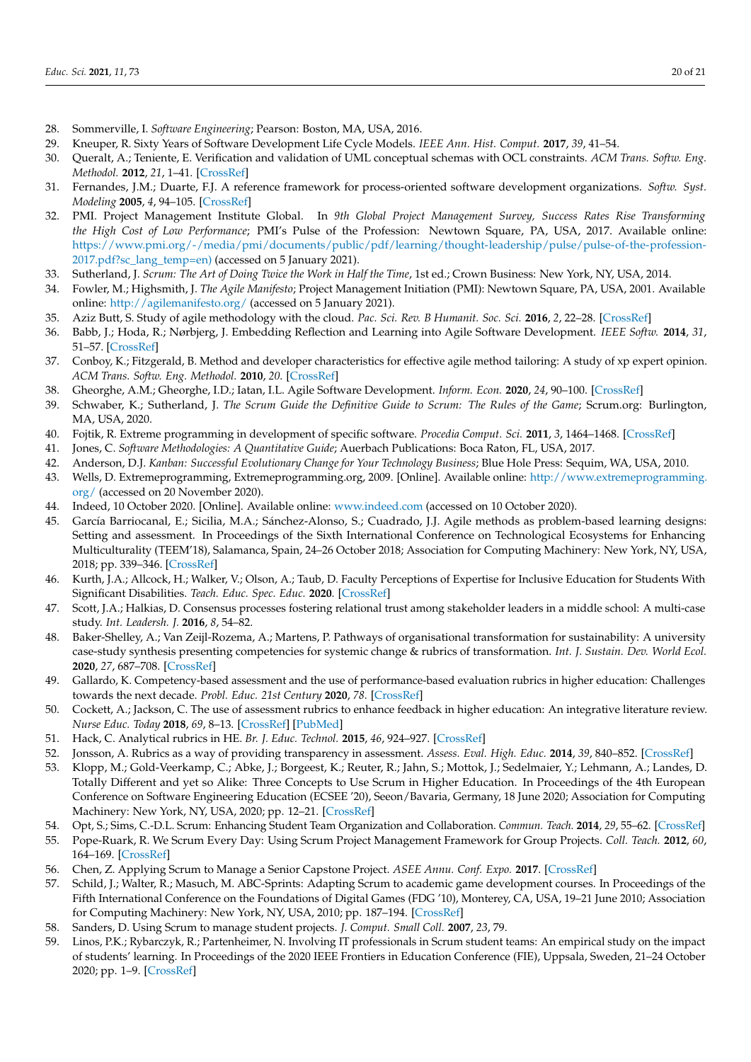- <span id="page-19-0"></span>28. Sommerville, I. *Software Engineering*; Pearson: Boston, MA, USA, 2016.
- <span id="page-19-1"></span>29. Kneuper, R. Sixty Years of Software Development Life Cycle Models. *IEEE Ann. Hist. Comput.* **2017**, *39*, 41–54.
- <span id="page-19-2"></span>30. Queralt, A.; Teniente, E. Verification and validation of UML conceptual schemas with OCL constraints. *ACM Trans. Softw. Eng. Methodol.* **2012**, *21*, 1–41. [\[CrossRef\]](http://doi.org/10.1145/2089116.2089123)
- <span id="page-19-3"></span>31. Fernandes, J.M.; Duarte, F.J. A reference framework for process-oriented software development organizations. *Softw. Syst. Modeling* **2005**, *4*, 94–105. [\[CrossRef\]](http://doi.org/10.1007/s10270-004-0063-0)
- <span id="page-19-4"></span>32. PMI. Project Management Institute Global. In *9th Global Project Management Survey, Success Rates Rise Transforming the High Cost of Low Performance*; PMI's Pulse of the Profession: Newtown Square, PA, USA, 2017. Available online: [https://www.pmi.org/-/media/pmi/documents/public/pdf/learning/thought-leadership/pulse/pulse-of-the-profession-](https://www.pmi.org/-/media/pmi/documents/public/pdf/learning/thought-leadership/pulse/pulse-of-the-profession-2017.pdf?sc_lang_temp=en))[2017.pdf?sc\\_lang\\_temp=en\)](https://www.pmi.org/-/media/pmi/documents/public/pdf/learning/thought-leadership/pulse/pulse-of-the-profession-2017.pdf?sc_lang_temp=en)) (accessed on 5 January 2021).
- <span id="page-19-5"></span>33. Sutherland, J. *Scrum: The Art of Doing Twice the Work in Half the Time*, 1st ed.; Crown Business: New York, NY, USA, 2014.
- <span id="page-19-6"></span>34. Fowler, M.; Highsmith, J. *The Agile Manifesto*; Project Management Initiation (PMI): Newtown Square, PA, USA, 2001. Available online: <http://agilemanifesto.org/> (accessed on 5 January 2021).
- <span id="page-19-7"></span>35. Aziz Butt, S. Study of agile methodology with the cloud. *Pac. Sci. Rev. B Humanit. Soc. Sci.* **2016**, *2*, 22–28. [\[CrossRef\]](http://doi.org/10.1016/j.psrb.2016.09.007)
- <span id="page-19-8"></span>36. Babb, J.; Hoda, R.; Nørbjerg, J. Embedding Reflection and Learning into Agile Software Development. *IEEE Softw.* **2014**, *31*, 51–57. [\[CrossRef\]](http://doi.org/10.1109/MS.2014.54)
- <span id="page-19-9"></span>37. Conboy, K.; Fitzgerald, B. Method and developer characteristics for effective agile method tailoring: A study of xp expert opinion. *ACM Trans. Softw. Eng. Methodol.* **2010**, *20*. [\[CrossRef\]](http://doi.org/10.1145/1767751.1767753)
- <span id="page-19-10"></span>38. Gheorghe, A.M.; Gheorghe, I.D.; Iatan, I.L. Agile Software Development. *Inform. Econ.* **2020**, *24*, 90–100. [\[CrossRef\]](http://doi.org/10.24818/issn14531305/24.2.2020.08)
- <span id="page-19-11"></span>39. Schwaber, K.; Sutherland, J. *The Scrum Guide the Definitive Guide to Scrum: The Rules of the Game*; Scrum.org: Burlington, MA, USA, 2020.
- <span id="page-19-12"></span>40. Fojtik, R. Extreme programming in development of specific software. *Procedia Comput. Sci.* **2011**, *3*, 1464–1468. [\[CrossRef\]](http://doi.org/10.1016/j.procs.2011.01.032)
- <span id="page-19-13"></span>41. Jones, C. *Software Methodologies: A Quantitative Guide*; Auerbach Publications: Boca Raton, FL, USA, 2017.
- <span id="page-19-14"></span>42. Anderson, D.J. *Kanban: Successful Evolutionary Change for Your Technology Business*; Blue Hole Press: Sequim, WA, USA, 2010.
- <span id="page-19-15"></span>43. Wells, D. Extremeprogramming, Extremeprogramming.org, 2009. [Online]. Available online: [http://www.extremeprogramming.](http://www.extremeprogramming.org/) [org/](http://www.extremeprogramming.org/) (accessed on 20 November 2020).
- <span id="page-19-16"></span>44. Indeed, 10 October 2020. [Online]. Available online: <www.indeed.com> (accessed on 10 October 2020).
- <span id="page-19-17"></span>45. García Barriocanal, E.; Sicilia, M.A.; Sánchez-Alonso, S.; Cuadrado, J.J. Agile methods as problem-based learning designs: Setting and assessment. In Proceedings of the Sixth International Conference on Technological Ecosystems for Enhancing Multiculturality (TEEM'18), Salamanca, Spain, 24–26 October 2018; Association for Computing Machinery: New York, NY, USA, 2018; pp. 339–346. [\[CrossRef\]](http://doi.org/10.1145/3284179.3284237)
- <span id="page-19-18"></span>46. Kurth, J.A.; Allcock, H.; Walker, V.; Olson, A.; Taub, D. Faculty Perceptions of Expertise for Inclusive Education for Students With Significant Disabilities. *Teach. Educ. Spec. Educ.* **2020**. [\[CrossRef\]](http://doi.org/10.1177/0888406420921582)
- <span id="page-19-19"></span>47. Scott, J.A.; Halkias, D. Consensus processes fostering relational trust among stakeholder leaders in a middle school: A multi-case study. *Int. Leadersh. J.* **2016**, *8*, 54–82.
- <span id="page-19-20"></span>48. Baker-Shelley, A.; Van Zeijl-Rozema, A.; Martens, P. Pathways of organisational transformation for sustainability: A university case-study synthesis presenting competencies for systemic change & rubrics of transformation. *Int. J. Sustain. Dev. World Ecol.* **2020**, *27*, 687–708. [\[CrossRef\]](http://doi.org/10.1080/13504509.2020.1762256)
- 49. Gallardo, K. Competency-based assessment and the use of performance-based evaluation rubrics in higher education: Challenges towards the next decade. *Probl. Educ. 21st Century* **2020**, *78*. [\[CrossRef\]](http://doi.org/10.33225/pec/20.78.61)
- 50. Cockett, A.; Jackson, C. The use of assessment rubrics to enhance feedback in higher education: An integrative literature review. *Nurse Educ. Today* **2018**, *69*, 8–13. [\[CrossRef\]](http://doi.org/10.1016/j.nedt.2018.06.022) [\[PubMed\]](http://www.ncbi.nlm.nih.gov/pubmed/30007151)
- 51. Hack, C. Analytical rubrics in HE. *Br. J. Educ. Technol.* **2015**, *46*, 924–927. [\[CrossRef\]](http://doi.org/10.1111/bjet.12304)
- <span id="page-19-21"></span>52. Jonsson, A. Rubrics as a way of providing transparency in assessment. *Assess. Eval. High. Educ.* **2014**, *39*, 840–852. [\[CrossRef\]](http://doi.org/10.1080/02602938.2013.875117)
- <span id="page-19-22"></span>53. Klopp, M.; Gold-Veerkamp, C.; Abke, J.; Borgeest, K.; Reuter, R.; Jahn, S.; Mottok, J.; Sedelmaier, Y.; Lehmann, A.; Landes, D. Totally Different and yet so Alike: Three Concepts to Use Scrum in Higher Education. In Proceedings of the 4th European Conference on Software Engineering Education (ECSEE '20), Seeon/Bavaria, Germany, 18 June 2020; Association for Computing Machinery: New York, NY, USA, 2020; pp. 12–21. [\[CrossRef\]](http://doi.org/10.1145/3396802.3396817)
- <span id="page-19-23"></span>54. Opt, S.; Sims, C.-D.L. Scrum: Enhancing Student Team Organization and Collaboration. *Commun. Teach.* **2014**, *29*, 55–62. [\[CrossRef\]](http://doi.org/10.1080/17404622.2014.939675)
- <span id="page-19-24"></span>55. Pope-Ruark, R. We Scrum Every Day: Using Scrum Project Management Framework for Group Projects. *Coll. Teach.* **2012**, *60*, 164–169. [\[CrossRef\]](http://doi.org/10.1080/87567555.2012.669425)
- <span id="page-19-26"></span>56. Chen, Z. Applying Scrum to Manage a Senior Capstone Project. *ASEE Annu. Conf. Expo.* **2017**. [\[CrossRef\]](http://doi.org/10.18260/1-2--27605)
- <span id="page-19-27"></span>57. Schild, J.; Walter, R.; Masuch, M. ABC-Sprints: Adapting Scrum to academic game development courses. In Proceedings of the Fifth International Conference on the Foundations of Digital Games (FDG '10), Monterey, CA, USA, 19–21 June 2010; Association for Computing Machinery: New York, NY, USA, 2010; pp. 187–194. [\[CrossRef\]](http://doi.org/10.1145/1822348.1822373)
- <span id="page-19-25"></span>58. Sanders, D. Using Scrum to manage student projects. *J. Comput. Small Coll.* **2007**, *23*, 79.
- <span id="page-19-28"></span>59. Linos, P.K.; Rybarczyk, R.; Partenheimer, N. Involving IT professionals in Scrum student teams: An empirical study on the impact of students' learning. In Proceedings of the 2020 IEEE Frontiers in Education Conference (FIE), Uppsala, Sweden, 21–24 October 2020; pp. 1–9. [\[CrossRef\]](http://doi.org/10.1109/FIE44824.2020.9274190)